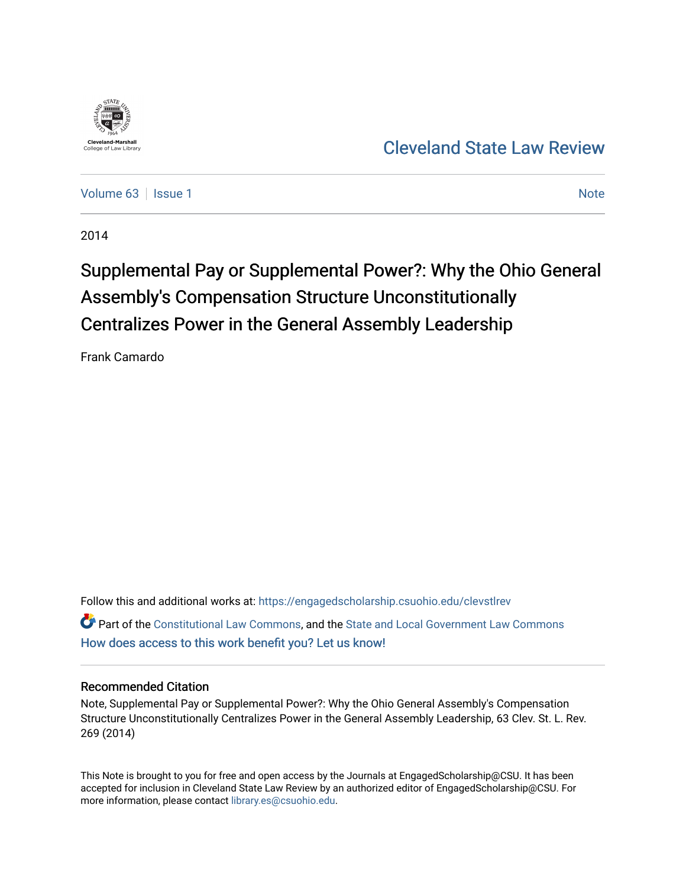

# [Cleveland State Law Review](https://engagedscholarship.csuohio.edu/clevstlrev)

[Volume 63](https://engagedscholarship.csuohio.edu/clevstlrev/vol63) | [Issue 1](https://engagedscholarship.csuohio.edu/clevstlrev/vol63/iss1) [Note](https://engagedscholarship.csuohio.edu/clevstlrev/vol63/iss1/13) 1 Note 1 Note 1 Note 1 Note 1 Note 1 Note 1 Note 1 Note 1 Note 1 Note 1 Note 1 Note 1

2014

# Supplemental Pay or Supplemental Power?: Why the Ohio General Assembly's Compensation Structure Unconstitutionally Centralizes Power in the General Assembly Leadership

Frank Camardo

Follow this and additional works at: [https://engagedscholarship.csuohio.edu/clevstlrev](https://engagedscholarship.csuohio.edu/clevstlrev?utm_source=engagedscholarship.csuohio.edu%2Fclevstlrev%2Fvol63%2Fiss1%2F13&utm_medium=PDF&utm_campaign=PDFCoverPages) Part of the [Constitutional Law Commons,](http://network.bepress.com/hgg/discipline/589?utm_source=engagedscholarship.csuohio.edu%2Fclevstlrev%2Fvol63%2Fiss1%2F13&utm_medium=PDF&utm_campaign=PDFCoverPages) and the [State and Local Government Law Commons](http://network.bepress.com/hgg/discipline/879?utm_source=engagedscholarship.csuohio.edu%2Fclevstlrev%2Fvol63%2Fiss1%2F13&utm_medium=PDF&utm_campaign=PDFCoverPages)  [How does access to this work benefit you? Let us know!](http://library.csuohio.edu/engaged/)

# Recommended Citation

Note, Supplemental Pay or Supplemental Power?: Why the Ohio General Assembly's Compensation Structure Unconstitutionally Centralizes Power in the General Assembly Leadership, 63 Clev. St. L. Rev. 269 (2014)

This Note is brought to you for free and open access by the Journals at EngagedScholarship@CSU. It has been accepted for inclusion in Cleveland State Law Review by an authorized editor of EngagedScholarship@CSU. For more information, please contact [library.es@csuohio.edu](mailto:library.es@csuohio.edu).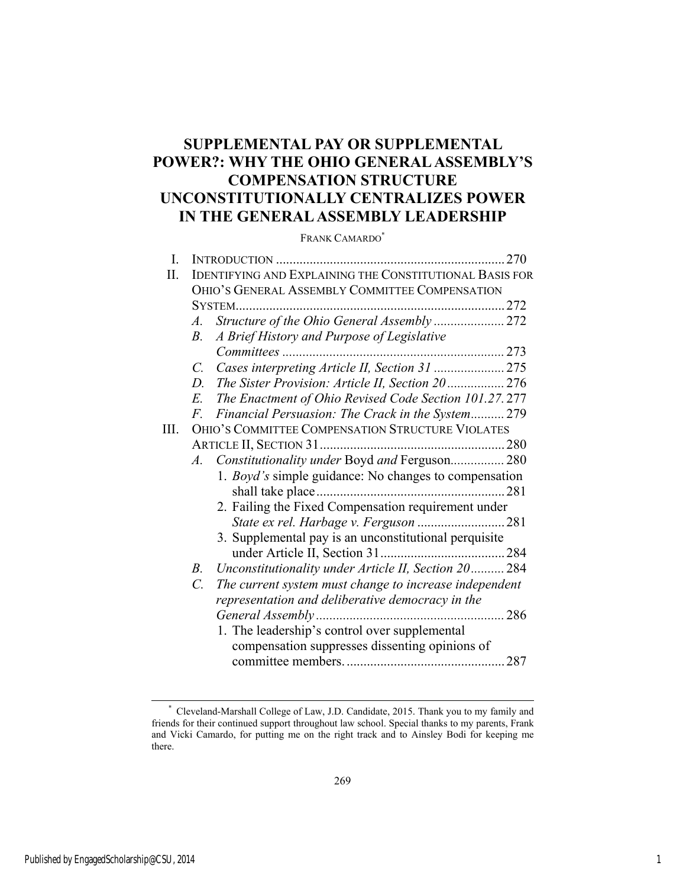# **SUPPLEMENTAL PAY OR SUPPLEMENTAL POWER?: WHY THE OHIO GENERAL ASSEMBLY'S COMPENSATION STRUCTURE UNCONSTITUTIONALLY CENTRALIZES POWER IN THE GENERAL ASSEMBLY LEADERSHIP**

FRANK CAMARDO\*

| I. |                                                                           |                                                              | 270 |  |
|----|---------------------------------------------------------------------------|--------------------------------------------------------------|-----|--|
| Η. | <b>IDENTIFYING AND EXPLAINING THE CONSTITUTIONAL BASIS FOR</b>            |                                                              |     |  |
|    | OHIO'S GENERAL ASSEMBLY COMMITTEE COMPENSATION                            |                                                              |     |  |
|    | $SYSTEM$                                                                  |                                                              |     |  |
|    | $A$ .                                                                     | Structure of the Ohio General Assembly  272                  |     |  |
|    | В.                                                                        | A Brief History and Purpose of Legislative                   |     |  |
|    |                                                                           |                                                              |     |  |
|    | $C_{\cdot}$                                                               | Cases interpreting Article II, Section 31  275               |     |  |
|    | D.                                                                        | The Sister Provision: Article II, Section 20 276             |     |  |
|    | E.                                                                        | The Enactment of Ohio Revised Code Section 101.27.277        |     |  |
|    | F.                                                                        | Financial Persuasion: The Crack in the System 279            |     |  |
| Ш. | OHIO'S COMMITTEE COMPENSATION STRUCTURE VIOLATES                          |                                                              |     |  |
|    |                                                                           |                                                              |     |  |
|    | $A$ .                                                                     | Constitutionality under Boyd and Ferguson 280                |     |  |
|    |                                                                           | 1. <i>Boyd's</i> simple guidance: No changes to compensation |     |  |
|    |                                                                           |                                                              |     |  |
|    |                                                                           | 2. Failing the Fixed Compensation requirement under          |     |  |
|    |                                                                           |                                                              |     |  |
|    |                                                                           | 3. Supplemental pay is an unconstitutional perquisite        |     |  |
|    |                                                                           |                                                              |     |  |
|    | $B_{\cdot}$                                                               | Unconstitutionality under Article II, Section 20 284         |     |  |
|    | $\mathcal{C}$ .<br>The current system must change to increase independent |                                                              |     |  |
|    |                                                                           | representation and deliberative democracy in the             |     |  |
|    |                                                                           |                                                              | 286 |  |
|    |                                                                           | 1. The leadership's control over supplemental                |     |  |
|    |                                                                           | compensation suppresses dissenting opinions of               |     |  |
|    |                                                                           |                                                              |     |  |
|    |                                                                           |                                                              |     |  |

l

 <sup>\*</sup> Cleveland-Marshall College of Law, J.D. Candidate, 2015. Thank you to my family and friends for their continued support throughout law school. Special thanks to my parents, Frank and Vicki Camardo, for putting me on the right track and to Ainsley Bodi for keeping me there.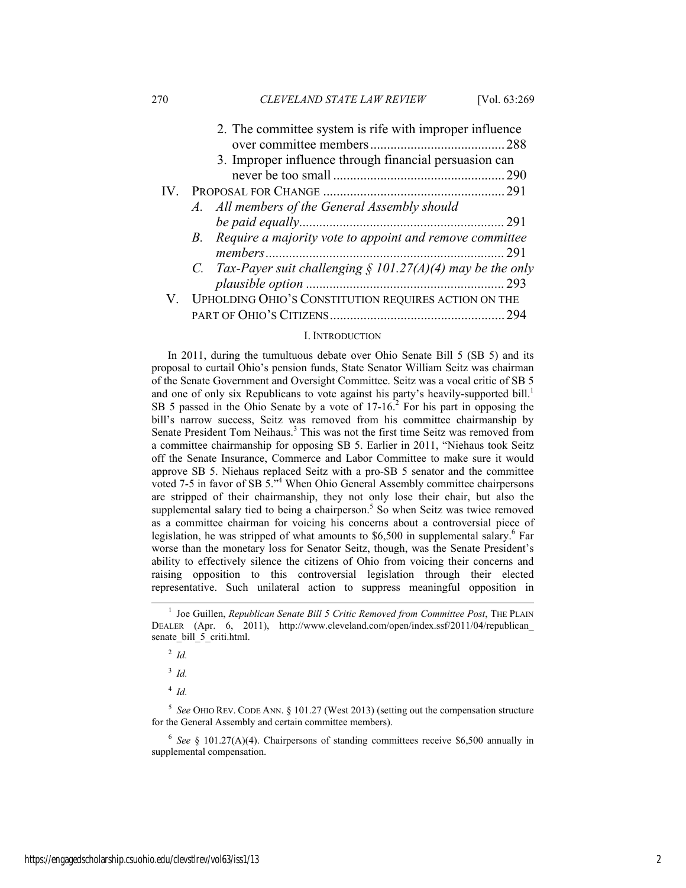270 *CLEVELAND STATE LAW REVIEW* [Vol. 63:269

| 2. The committee system is rife with improper influence         |     |  |  |
|-----------------------------------------------------------------|-----|--|--|
|                                                                 |     |  |  |
| 3. Improper influence through financial persuasion can          |     |  |  |
|                                                                 |     |  |  |
|                                                                 |     |  |  |
| A. All members of the General Assembly should                   |     |  |  |
|                                                                 |     |  |  |
| B. Require a majority vote to appoint and remove committee      |     |  |  |
|                                                                 |     |  |  |
| C. Tax-Payer suit challenging $\S$ 101.27(A)(4) may be the only |     |  |  |
|                                                                 |     |  |  |
| V. UPHOLDING OHIO'S CONSTITUTION REQUIRES ACTION ON THE         |     |  |  |
|                                                                 | 294 |  |  |

#### I. INTRODUCTION

In 2011, during the tumultuous debate over Ohio Senate Bill 5 (SB 5) and its proposal to curtail Ohio's pension funds, State Senator William Seitz was chairman of the Senate Government and Oversight Committee. Seitz was a vocal critic of SB 5 and one of only six Republicans to vote against his party's heavily-supported bill.<sup>1</sup> SB 5 passed in the Ohio Senate by a vote of  $17-16$ <sup>2</sup>. For his part in opposing the bill's narrow success, Seitz was removed from his committee chairmanship by Senate President Tom Neihaus.<sup>3</sup> This was not the first time Seitz was removed from a committee chairmanship for opposing SB 5. Earlier in 2011, "Niehaus took Seitz off the Senate Insurance, Commerce and Labor Committee to make sure it would approve SB 5. Niehaus replaced Seitz with a pro-SB 5 senator and the committee voted 7-5 in favor of SB 5.<sup>34</sup> When Ohio General Assembly committee chairpersons are stripped of their chairmanship, they not only lose their chair, but also the supplemental salary tied to being a chairperson.<sup>5</sup> So when Seitz was twice removed as a committee chairman for voicing his concerns about a controversial piece of legislation, he was stripped of what amounts to \$6,500 in supplemental salary.<sup>6</sup> Far worse than the monetary loss for Senator Seitz, though, was the Senate President's ability to effectively silence the citizens of Ohio from voicing their concerns and raising opposition to this controversial legislation through their elected representative. Such unilateral action to suppress meaningful opposition in

<sup>2</sup> *Id.*

<sup>3</sup> *Id.*

<sup>4</sup> *Id.*

<sup>5</sup> *See* OHIO REV. CODE ANN. § 101.27 (West 2013) (setting out the compensation structure for the General Assembly and certain committee members).

<sup>6</sup> *See* § 101.27(A)(4). Chairpersons of standing committees receive \$6,500 annually in supplemental compensation.

 $\frac{1}{1}$ <sup>1</sup> Joe Guillen, *Republican Senate Bill 5 Critic Removed from Committee Post*, THE PLAIN DEALER (Apr. 6, 2011), http://www.cleveland.com/open/index.ssf/2011/04/republican\_ senate\_bill\_5\_criti.html.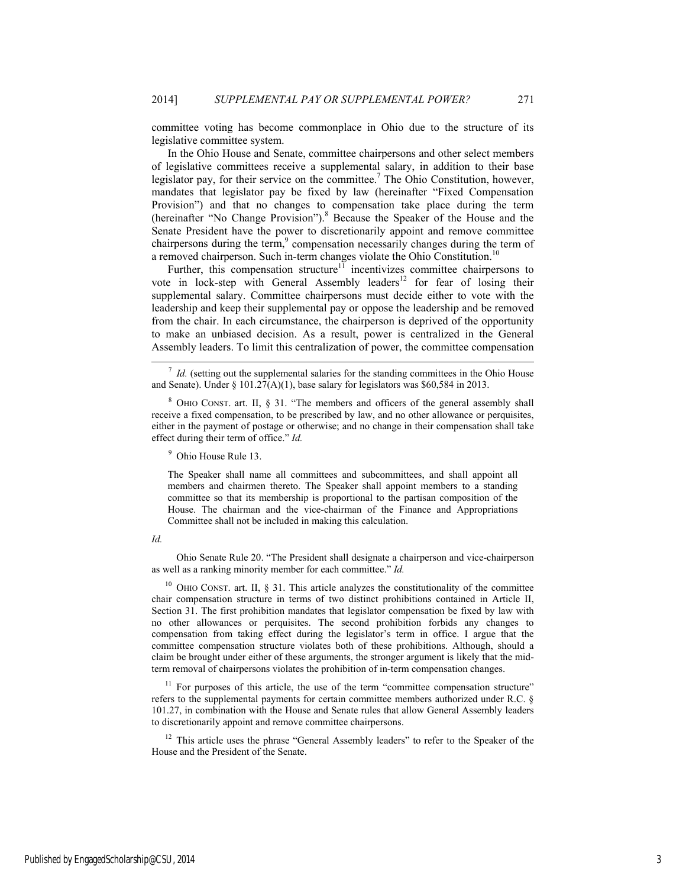committee voting has become commonplace in Ohio due to the structure of its legislative committee system.

In the Ohio House and Senate, committee chairpersons and other select members of legislative committees receive a supplemental salary, in addition to their base legislator pay, for their service on the committee.<sup>7</sup> The Ohio Constitution, however, mandates that legislator pay be fixed by law (hereinafter "Fixed Compensation Provision") and that no changes to compensation take place during the term (hereinafter "No Change Provision").<sup>8</sup> Because the Speaker of the House and the Senate President have the power to discretionarily appoint and remove committee chairpersons during the term, $9$  compensation necessarily changes during the term of a removed chairperson. Such in-term changes violate the Ohio Constitution.<sup>10</sup>

Further, this compensation structure<sup>11</sup> incentivizes committee chairpersons to vote in lock-step with General Assembly leaders<sup>12</sup> for fear of losing their supplemental salary. Committee chairpersons must decide either to vote with the leadership and keep their supplemental pay or oppose the leadership and be removed from the chair. In each circumstance, the chairperson is deprived of the opportunity to make an unbiased decision. As a result, power is centralized in the General Assembly leaders. To limit this centralization of power, the committee compensation

<sup>8</sup> OHIO CONST. art. II, § 31. "The members and officers of the general assembly shall receive a fixed compensation, to be prescribed by law, and no other allowance or perquisites, either in the payment of postage or otherwise; and no change in their compensation shall take effect during their term of office." *Id.*

9 Ohio House Rule 13.

The Speaker shall name all committees and subcommittees, and shall appoint all members and chairmen thereto. The Speaker shall appoint members to a standing committee so that its membership is proportional to the partisan composition of the House. The chairman and the vice-chairman of the Finance and Appropriations Committee shall not be included in making this calculation.

#### *Id.*

 Ohio Senate Rule 20. "The President shall designate a chairperson and vice-chairperson as well as a ranking minority member for each committee." *Id.*

<sup>10</sup> OHIO CONST. art. II, § 31. This article analyzes the constitutionality of the committee chair compensation structure in terms of two distinct prohibitions contained in Article II, Section 31. The first prohibition mandates that legislator compensation be fixed by law with no other allowances or perquisites. The second prohibition forbids any changes to compensation from taking effect during the legislator's term in office. I argue that the committee compensation structure violates both of these prohibitions. Although, should a claim be brought under either of these arguments, the stronger argument is likely that the midterm removal of chairpersons violates the prohibition of in-term compensation changes.

 $11$  For purposes of this article, the use of the term "committee compensation structure" refers to the supplemental payments for certain committee members authorized under R.C. § 101.27, in combination with the House and Senate rules that allow General Assembly leaders to discretionarily appoint and remove committee chairpersons.

<sup>12</sup> This article uses the phrase "General Assembly leaders" to refer to the Speaker of the House and the President of the Senate.

 $\frac{7}{1}$  *Id.* (setting out the supplemental salaries for the standing committees in the Ohio House and Senate). Under § 101.27(A)(1), base salary for legislators was \$60,584 in 2013.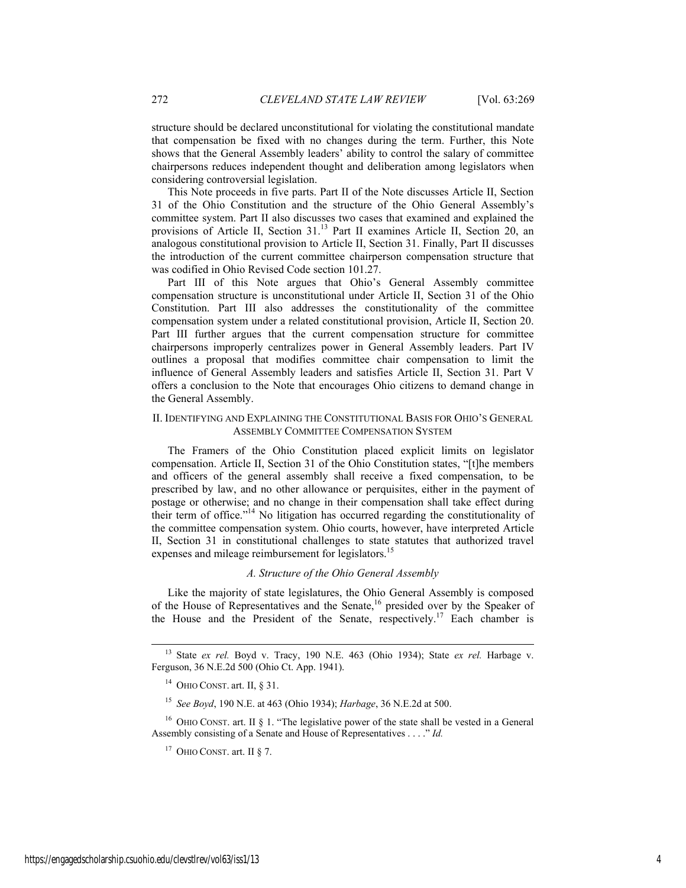structure should be declared unconstitutional for violating the constitutional mandate that compensation be fixed with no changes during the term. Further, this Note shows that the General Assembly leaders' ability to control the salary of committee chairpersons reduces independent thought and deliberation among legislators when considering controversial legislation.

This Note proceeds in five parts. Part II of the Note discusses Article II, Section 31 of the Ohio Constitution and the structure of the Ohio General Assembly's committee system. Part II also discusses two cases that examined and explained the provisions of Article II, Section 31.13 Part II examines Article II, Section 20, an analogous constitutional provision to Article II, Section 31. Finally, Part II discusses the introduction of the current committee chairperson compensation structure that was codified in Ohio Revised Code section 101.27.

Part III of this Note argues that Ohio's General Assembly committee compensation structure is unconstitutional under Article II, Section 31 of the Ohio Constitution. Part III also addresses the constitutionality of the committee compensation system under a related constitutional provision, Article II, Section 20. Part III further argues that the current compensation structure for committee chairpersons improperly centralizes power in General Assembly leaders. Part IV outlines a proposal that modifies committee chair compensation to limit the influence of General Assembly leaders and satisfies Article II, Section 31. Part V offers a conclusion to the Note that encourages Ohio citizens to demand change in the General Assembly.

# II. IDENTIFYING AND EXPLAINING THE CONSTITUTIONAL BASIS FOR OHIO'S GENERAL ASSEMBLY COMMITTEE COMPENSATION SYSTEM

The Framers of the Ohio Constitution placed explicit limits on legislator compensation. Article II, Section 31 of the Ohio Constitution states, "[t]he members and officers of the general assembly shall receive a fixed compensation, to be prescribed by law, and no other allowance or perquisites, either in the payment of postage or otherwise; and no change in their compensation shall take effect during their term of office."<sup>14</sup> No litigation has occurred regarding the constitutionality of the committee compensation system. Ohio courts, however, have interpreted Article II, Section 31 in constitutional challenges to state statutes that authorized travel expenses and mileage reimbursement for legislators.<sup>15</sup>

# *A. Structure of the Ohio General Assembly*

Like the majority of state legislatures, the Ohio General Assembly is composed of the House of Representatives and the Senate,<sup>16</sup> presided over by the Speaker of the House and the President of the Senate, respectively.<sup>17</sup> Each chamber is

<sup>15</sup> *See Boyd*, 190 N.E. at 463 (Ohio 1934); *Harbage*, 36 N.E.2d at 500.

<sup>16</sup> OHIO CONST. art. II § 1. "The legislative power of the state shall be vested in a General Assembly consisting of a Senate and House of Representatives . . . ." *Id.*

 <sup>13</sup> State *ex rel.* Boyd v. Tracy, 190 N.E. 463 (Ohio 1934); State *ex rel.* Harbage v. Ferguson, 36 N.E.2d 500 (Ohio Ct. App. 1941).

 $14$  OHIO CONST. art. II, § 31.

 $17$  OHIO CONST. art. II § 7.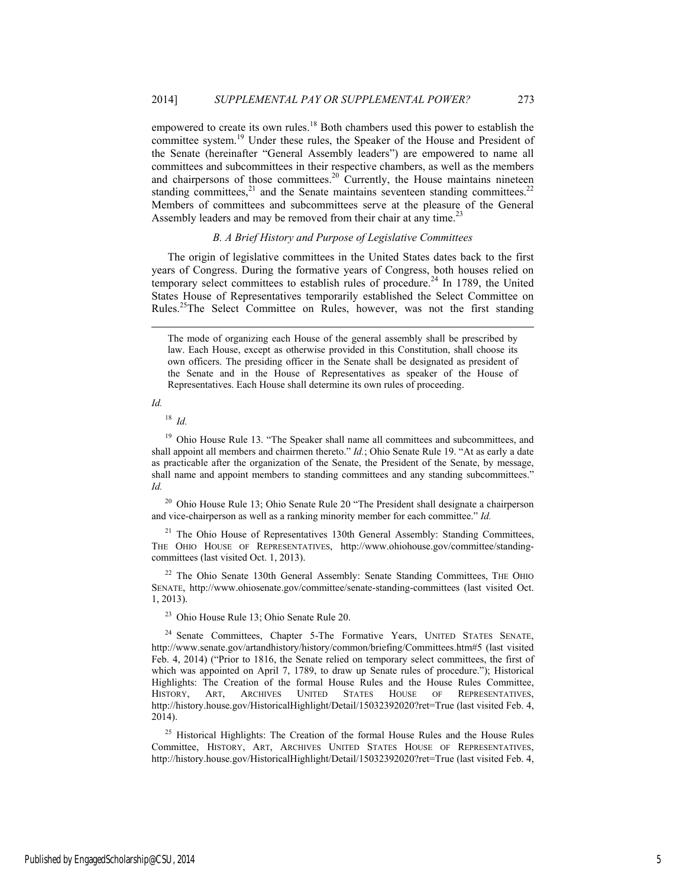empowered to create its own rules.<sup>18</sup> Both chambers used this power to establish the committee system.<sup>19</sup> Under these rules, the Speaker of the House and President of the Senate (hereinafter "General Assembly leaders") are empowered to name all committees and subcommittees in their respective chambers, as well as the members and chairpersons of those committees.<sup>20</sup> Currently, the House maintains nineteen standing committees, $21$  and the Senate maintains seventeen standing committees. $22$ Members of committees and subcommittees serve at the pleasure of the General Assembly leaders and may be removed from their chair at any time.<sup>23</sup>

# *B. A Brief History and Purpose of Legislative Committees*

The origin of legislative committees in the United States dates back to the first years of Congress. During the formative years of Congress, both houses relied on temporary select committees to establish rules of procedure.<sup>24</sup> In 1789, the United States House of Representatives temporarily established the Select Committee on Rules.25The Select Committee on Rules, however, was not the first standing

*Id.*

l

<sup>18</sup> *Id.* 

<sup>19</sup> Ohio House Rule 13. "The Speaker shall name all committees and subcommittees, and shall appoint all members and chairmen thereto." *Id.*; Ohio Senate Rule 19. "At as early a date as practicable after the organization of the Senate, the President of the Senate, by message, shall name and appoint members to standing committees and any standing subcommittees." *Id.*

<sup>20</sup> Ohio House Rule 13; Ohio Senate Rule 20 "The President shall designate a chairperson and vice-chairperson as well as a ranking minority member for each committee." *Id.* 

 $21$  The Ohio House of Representatives 130th General Assembly: Standing Committees, THE OHIO HOUSE OF REPRESENTATIVES, http://www.ohiohouse.gov/committee/standingcommittees (last visited Oct. 1, 2013).

 $22$  The Ohio Senate 130th General Assembly: Senate Standing Committees, THE OHIO SENATE, http://www.ohiosenate.gov/committee/senate-standing-committees (last visited Oct. 1, 2013).

23 Ohio House Rule 13; Ohio Senate Rule 20.

<sup>24</sup> Senate Committees, Chapter 5-The Formative Years, UNITED STATES SENATE, http://www.senate.gov/artandhistory/history/common/briefing/Committees.htm#5 (last visited Feb. 4, 2014) ("Prior to 1816, the Senate relied on temporary select committees, the first of which was appointed on April 7, 1789, to draw up Senate rules of procedure."); Historical Highlights: The Creation of the formal House Rules and the House Rules Committee, HISTORY, ART, ARCHIVES UNITED STATES HOUSE OF REPRESENTATIVES, http://history.house.gov/HistoricalHighlight/Detail/15032392020?ret=True (last visited Feb. 4, 2014).

<sup>25</sup> Historical Highlights: The Creation of the formal House Rules and the House Rules Committee, HISTORY, ART, ARCHIVES UNITED STATES HOUSE OF REPRESENTATIVES, http://history.house.gov/HistoricalHighlight/Detail/15032392020?ret=True (last visited Feb. 4,

The mode of organizing each House of the general assembly shall be prescribed by law. Each House, except as otherwise provided in this Constitution, shall choose its own officers. The presiding officer in the Senate shall be designated as president of the Senate and in the House of Representatives as speaker of the House of Representatives. Each House shall determine its own rules of proceeding.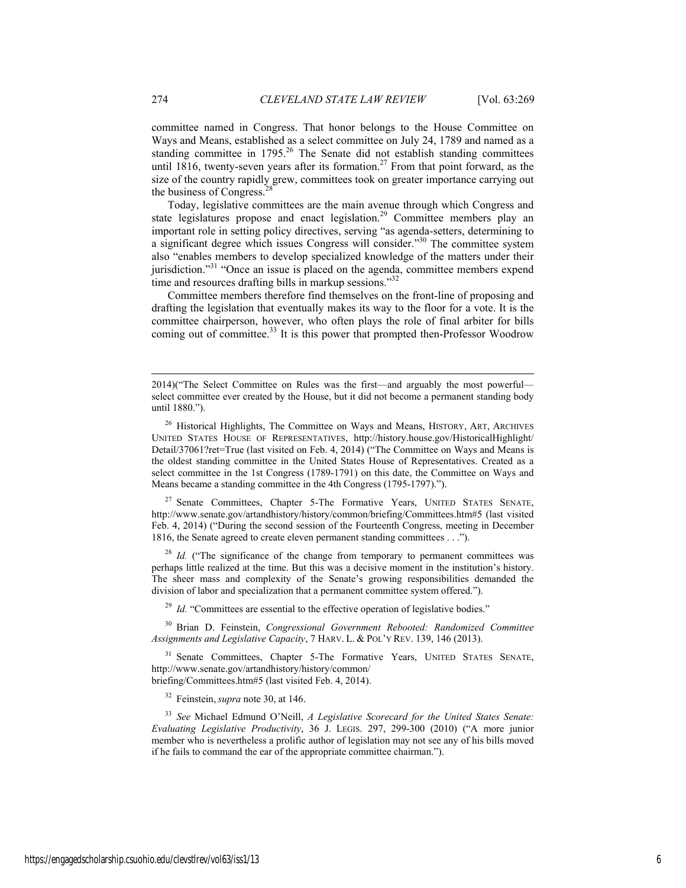committee named in Congress. That honor belongs to the House Committee on Ways and Means, established as a select committee on July 24, 1789 and named as a standing committee in 1795.<sup>26</sup> The Senate did not establish standing committees until 1816, twenty-seven years after its formation.<sup>27</sup> From that point forward, as the size of the country rapidly grew, committees took on greater importance carrying out the business of Congress.<sup>2</sup>

Today, legislative committees are the main avenue through which Congress and state legislatures propose and enact legislation.<sup>29</sup> Committee members play an important role in setting policy directives, serving "as agenda-setters, determining to a significant degree which issues Congress will consider.<sup>330</sup> The committee system also "enables members to develop specialized knowledge of the matters under their jurisdiction."<sup>31</sup> "Once an issue is placed on the agenda, committee members expend time and resources drafting bills in markup sessions."<sup>32</sup>

Committee members therefore find themselves on the front-line of proposing and drafting the legislation that eventually makes its way to the floor for a vote. It is the committee chairperson, however, who often plays the role of final arbiter for bills coming out of committee.<sup>33</sup> It is this power that prompted then-Professor Woodrow

<sup>27</sup> Senate Committees, Chapter 5-The Formative Years, UNITED STATES SENATE, http://www.senate.gov/artandhistory/history/common/briefing/Committees.htm#5 (last visited Feb. 4, 2014) ("During the second session of the Fourteenth Congress, meeting in December 1816, the Senate agreed to create eleven permanent standing committees . . .").

<sup>28</sup> *Id.* ("The significance of the change from temporary to permanent committees was perhaps little realized at the time. But this was a decisive moment in the institution's history. The sheer mass and complexity of the Senate's growing responsibilities demanded the division of labor and specialization that a permanent committee system offered.").

<sup>29</sup> *Id.* "Committees are essential to the effective operation of legislative bodies."

30 Brian D. Feinstein, *Congressional Government Rebooted: Randomized Committee Assignments and Legislative Capacity*, 7 HARV. L. & POL'Y REV. 139, 146 (2013).

<sup>31</sup> Senate Committees, Chapter 5-The Formative Years, UNITED STATES SENATE, http://www.senate.gov/artandhistory/history/common/ briefing/Committees.htm#5 (last visited Feb. 4, 2014).

32 Feinstein,*supra* note 30, at 146.

<sup>33</sup> *See* Michael Edmund O'Neill, *A Legislative Scorecard for the United States Senate: Evaluating Legislative Productivity*, 36 J. LEGIS. 297, 299-300 (2010) ("A more junior member who is nevertheless a prolific author of legislation may not see any of his bills moved if he fails to command the ear of the appropriate committee chairman.").

l

<sup>2014)(&</sup>quot;The Select Committee on Rules was the first—and arguably the most powerful select committee ever created by the House, but it did not become a permanent standing body until 1880.").

<sup>&</sup>lt;sup>26</sup> Historical Highlights, The Committee on Ways and Means, HISTORY, ART, ARCHIVES UNITED STATES HOUSE OF REPRESENTATIVES, http://history.house.gov/HistoricalHighlight/ Detail/37061?ret=True (last visited on Feb. 4, 2014) ("The Committee on Ways and Means is the oldest standing committee in the United States House of Representatives. Created as a select committee in the 1st Congress (1789-1791) on this date, the Committee on Ways and Means became a standing committee in the 4th Congress (1795-1797).").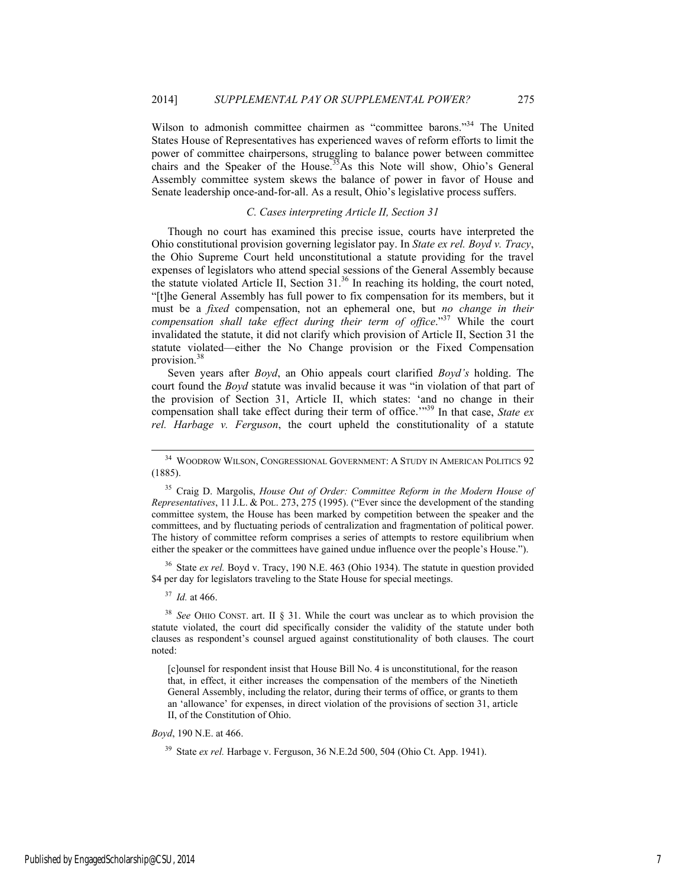Wilson to admonish committee chairmen as "committee barons."34 The United States House of Representatives has experienced waves of reform efforts to limit the power of committee chairpersons, struggling to balance power between committee chairs and the Speaker of the House.<sup>35</sup>As this Note will show, Ohio's General Assembly committee system skews the balance of power in favor of House and Senate leadership once-and-for-all. As a result, Ohio's legislative process suffers.

#### *C. Cases interpreting Article II, Section 31*

Though no court has examined this precise issue, courts have interpreted the Ohio constitutional provision governing legislator pay. In *State ex rel. Boyd v. Tracy*, the Ohio Supreme Court held unconstitutional a statute providing for the travel expenses of legislators who attend special sessions of the General Assembly because the statute violated Article II, Section 31.36 In reaching its holding, the court noted, "[t]he General Assembly has full power to fix compensation for its members, but it must be a *fixed* compensation, not an ephemeral one, but *no change in their compensation shall take effect during their term of office*."37 While the court invalidated the statute, it did not clarify which provision of Article II, Section 31 the statute violated—either the No Change provision or the Fixed Compensation provision.<sup>38</sup>

Seven years after *Boyd*, an Ohio appeals court clarified *Boyd's* holding. The court found the *Boyd* statute was invalid because it was "in violation of that part of the provision of Section 31, Article II, which states: 'and no change in their compensation shall take effect during their term of office.'"39 In that case, *State ex rel. Harbage v. Ferguson*, the court upheld the constitutionality of a statute

<sup>36</sup> State *ex rel.* Boyd v. Tracy, 190 N.E. 463 (Ohio 1934). The statute in question provided \$4 per day for legislators traveling to the State House for special meetings.

<sup>37</sup> *Id.* at 466.

<sup>38</sup> *See* OHIO CONST. art. II § 31. While the court was unclear as to which provision the statute violated, the court did specifically consider the validity of the statute under both clauses as respondent's counsel argued against constitutionality of both clauses. The court noted:

[c]ounsel for respondent insist that House Bill No. 4 is unconstitutional, for the reason that, in effect, it either increases the compensation of the members of the Ninetieth General Assembly, including the relator, during their terms of office, or grants to them an 'allowance' for expenses, in direct violation of the provisions of section 31, article II, of the Constitution of Ohio.

*Boyd*, 190 N.E. at 466.

 <sup>34</sup> WOODROW WILSON, CONGRESSIONAL GOVERNMENT: <sup>A</sup> STUDY IN AMERICAN POLITICS 92 (1885).

<sup>35</sup> Craig D. Margolis, *House Out of Order: Committee Reform in the Modern House of Representatives*, 11 J.L. & POL. 273, 275 (1995). ("Ever since the development of the standing committee system, the House has been marked by competition between the speaker and the committees, and by fluctuating periods of centralization and fragmentation of political power. The history of committee reform comprises a series of attempts to restore equilibrium when either the speaker or the committees have gained undue influence over the people's House.").

<sup>39</sup> State *ex rel.* Harbage v. Ferguson, 36 N.E.2d 500, 504 (Ohio Ct. App. 1941).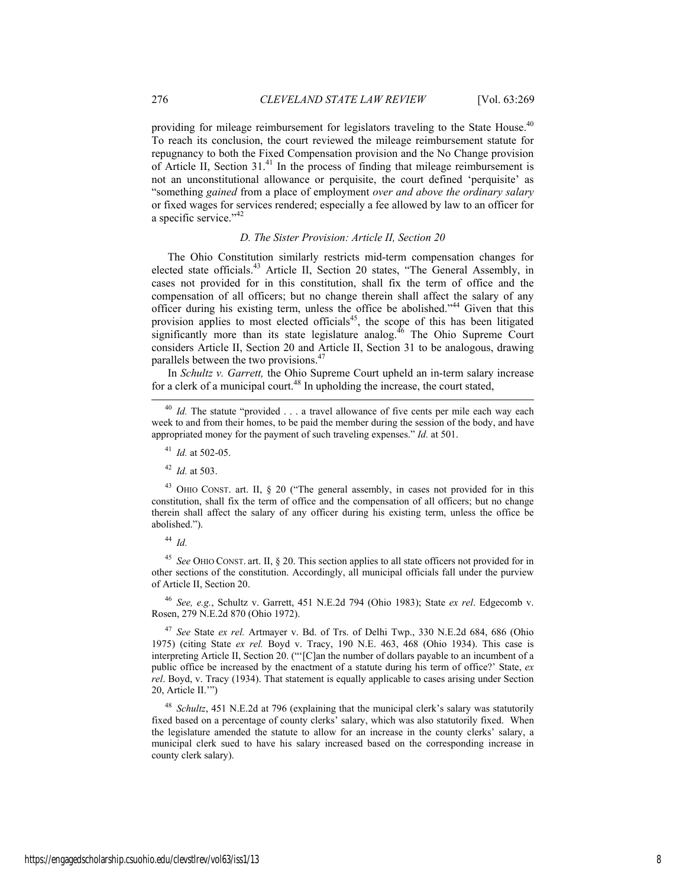providing for mileage reimbursement for legislators traveling to the State House.<sup>40</sup> To reach its conclusion, the court reviewed the mileage reimbursement statute for repugnancy to both the Fixed Compensation provision and the No Change provision of Article II, Section 31.41 In the process of finding that mileage reimbursement is not an unconstitutional allowance or perquisite, the court defined 'perquisite' as "something *gained* from a place of employment *over and above the ordinary salary* or fixed wages for services rendered; especially a fee allowed by law to an officer for a specific service."<sup>42</sup>

## *D. The Sister Provision: Article II, Section 20*

The Ohio Constitution similarly restricts mid-term compensation changes for elected state officials.<sup>43</sup> Article II, Section 20 states, "The General Assembly, in cases not provided for in this constitution, shall fix the term of office and the compensation of all officers; but no change therein shall affect the salary of any officer during his existing term, unless the office be abolished."44 Given that this provision applies to most elected officials<sup>45</sup>, the scope of this has been litigated significantly more than its state legislature analog.<sup>46</sup> The Ohio Supreme Court considers Article II, Section 20 and Article II, Section 31 to be analogous, drawing parallels between the two provisions.<sup>47</sup>

In *Schultz v. Garrett,* the Ohio Supreme Court upheld an in-term salary increase for a clerk of a municipal court. $48$  In upholding the increase, the court stated,

<sup>42</sup> *Id.* at 503.

 $43$  OHIO CONST. art. II, § 20 ("The general assembly, in cases not provided for in this constitution, shall fix the term of office and the compensation of all officers; but no change therein shall affect the salary of any officer during his existing term, unless the office be abolished.").

<sup>44</sup> *Id.*

<sup>45</sup> *See* OHIO CONST. art. II, § 20. This section applies to all state officers not provided for in other sections of the constitution. Accordingly, all municipal officials fall under the purview of Article II, Section 20.

<sup>46</sup> *See, e.g.*, Schultz v. Garrett, 451 N.E.2d 794 (Ohio 1983); State *ex rel*. Edgecomb v. Rosen, 279 N.E.2d 870 (Ohio 1972).

<sup>47</sup> *See* State *ex rel.* Artmayer v. Bd. of Trs. of Delhi Twp., 330 N.E.2d 684, 686 (Ohio 1975) (citing State *ex rel.* Boyd v. Tracy, 190 N.E. 463, 468 (Ohio 1934). This case is interpreting Article II, Section 20. ("'[C]an the number of dollars payable to an incumbent of a public office be increased by the enactment of a statute during his term of office?' State, *ex rel*. Boyd, v. Tracy (1934). That statement is equally applicable to cases arising under Section 20, Article II.'")

Schultz, 451 N.E.2d at 796 (explaining that the municipal clerk's salary was statutorily fixed based on a percentage of county clerks' salary, which was also statutorily fixed. When the legislature amended the statute to allow for an increase in the county clerks' salary, a municipal clerk sued to have his salary increased based on the corresponding increase in county clerk salary).

<sup>&</sup>lt;sup>40</sup> *Id.* The statute "provided . . . a travel allowance of five cents per mile each way each week to and from their homes, to be paid the member during the session of the body, and have appropriated money for the payment of such traveling expenses." *Id.* at 501.

<sup>41</sup> *Id.* at 502-05.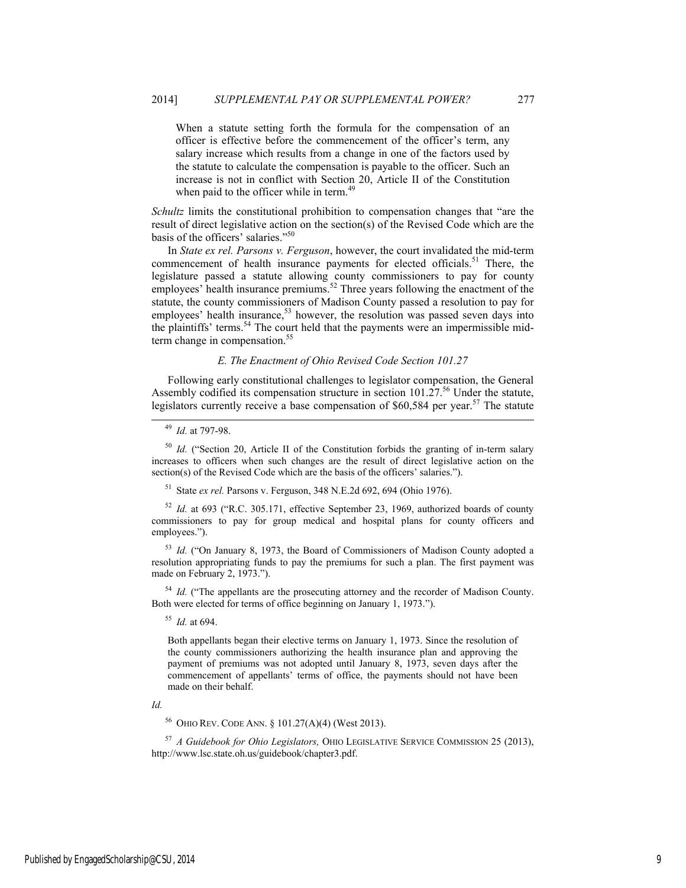When a statute setting forth the formula for the compensation of an officer is effective before the commencement of the officer's term, any salary increase which results from a change in one of the factors used by the statute to calculate the compensation is payable to the officer. Such an increase is not in conflict with Section 20, Article II of the Constitution when paid to the officer while in term.<sup>49</sup>

*Schultz* limits the constitutional prohibition to compensation changes that "are the result of direct legislative action on the section(s) of the Revised Code which are the basis of the officers' salaries."<sup>50</sup>

In *State ex rel. Parsons v. Ferguson*, however, the court invalidated the mid-term commencement of health insurance payments for elected officials.<sup>51</sup> There, the legislature passed a statute allowing county commissioners to pay for county employees' health insurance premiums.<sup>52</sup> Three years following the enactment of the statute, the county commissioners of Madison County passed a resolution to pay for employees' health insurance, $53$  however, the resolution was passed seven days into the plaintiffs' terms.<sup>54</sup> The court held that the payments were an impermissible midterm change in compensation.<sup>55</sup>

# *E. The Enactment of Ohio Revised Code Section 101.27*

Following early constitutional challenges to legislator compensation, the General Assembly codified its compensation structure in section  $101.27$ .<sup>56</sup> Under the statute, legislators currently receive a base compensation of  $$60,584$  per year.<sup>57</sup> The statute

<sup>50</sup> *Id.* ("Section 20, Article II of the Constitution forbids the granting of in-term salary increases to officers when such changes are the result of direct legislative action on the section(s) of the Revised Code which are the basis of the officers' salaries.").

51 State *ex rel.* Parsons v. Ferguson, 348 N.E.2d 692, 694 (Ohio 1976).

<sup>52</sup> *Id.* at 693 ("R.C. 305.171, effective September 23, 1969, authorized boards of county commissioners to pay for group medical and hospital plans for county officers and employees.").

<sup>53</sup> *Id.* ("On January 8, 1973, the Board of Commissioners of Madison County adopted a resolution appropriating funds to pay the premiums for such a plan. The first payment was made on February 2, 1973.").

<sup>54</sup> *Id.* ("The appellants are the prosecuting attorney and the recorder of Madison County. Both were elected for terms of office beginning on January 1, 1973.").

<sup>55</sup> *Id.* at 694.

Both appellants began their elective terms on January 1, 1973. Since the resolution of the county commissioners authorizing the health insurance plan and approving the payment of premiums was not adopted until January 8, 1973, seven days after the commencement of appellants' terms of office, the payments should not have been made on their behalf.

*Id.* 

56 OHIO REV. CODE ANN. § 101.27(A)(4) (West 2013).

<sup>57</sup> *A Guidebook for Ohio Legislators,* OHIO LEGISLATIVE SERVICE COMMISSION 25 (2013), http://www.lsc.state.oh.us/guidebook/chapter3.pdf.

 <sup>49</sup> *Id.* at 797-98.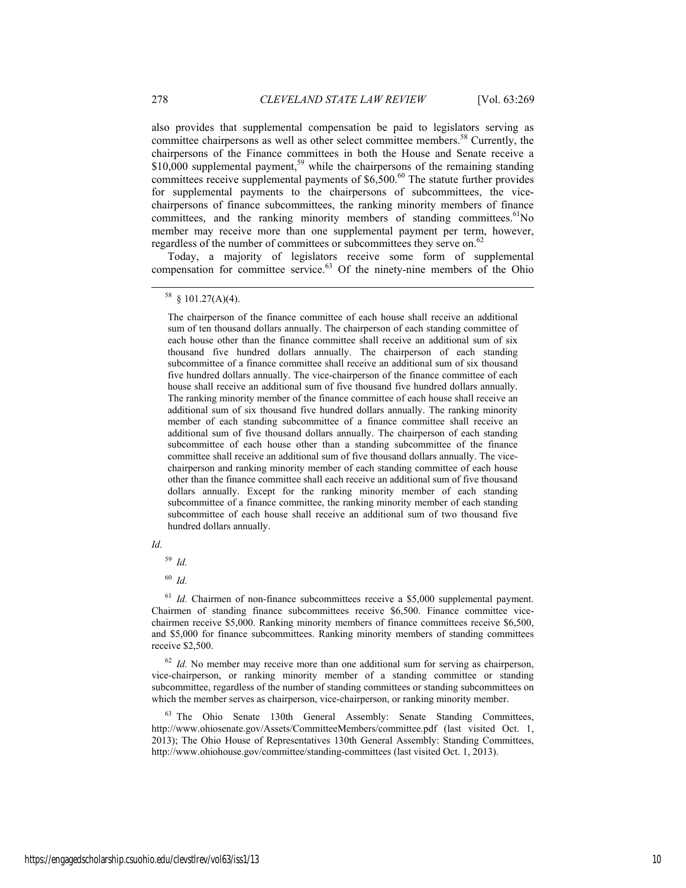also provides that supplemental compensation be paid to legislators serving as committee chairpersons as well as other select committee members.<sup>58</sup> Currently, the chairpersons of the Finance committees in both the House and Senate receive a  $$10,000$  supplemental payment,<sup>59</sup> while the chairpersons of the remaining standing committees receive supplemental payments of \$6,500.<sup>60</sup> The statute further provides for supplemental payments to the chairpersons of subcommittees, the vicechairpersons of finance subcommittees, the ranking minority members of finance committees, and the ranking minority members of standing committees.<sup>61</sup>No member may receive more than one supplemental payment per term, however, regardless of the number of committees or subcommittees they serve on.<sup>62</sup>

Today, a majority of legislators receive some form of supplemental compensation for committee service. $63$  Of the ninety-nine members of the Ohio

The chairperson of the finance committee of each house shall receive an additional sum of ten thousand dollars annually. The chairperson of each standing committee of each house other than the finance committee shall receive an additional sum of six thousand five hundred dollars annually. The chairperson of each standing subcommittee of a finance committee shall receive an additional sum of six thousand five hundred dollars annually. The vice-chairperson of the finance committee of each house shall receive an additional sum of five thousand five hundred dollars annually. The ranking minority member of the finance committee of each house shall receive an additional sum of six thousand five hundred dollars annually. The ranking minority member of each standing subcommittee of a finance committee shall receive an additional sum of five thousand dollars annually. The chairperson of each standing subcommittee of each house other than a standing subcommittee of the finance committee shall receive an additional sum of five thousand dollars annually. The vicechairperson and ranking minority member of each standing committee of each house other than the finance committee shall each receive an additional sum of five thousand dollars annually. Except for the ranking minority member of each standing subcommittee of a finance committee, the ranking minority member of each standing subcommittee of each house shall receive an additional sum of two thousand five hundred dollars annually.

*Id.* 

<sup>59</sup> *Id.*

<sup>60</sup> *Id.*

<sup>61</sup> *Id.* Chairmen of non-finance subcommittees receive a \$5,000 supplemental payment. Chairmen of standing finance subcommittees receive \$6,500. Finance committee vicechairmen receive \$5,000. Ranking minority members of finance committees receive \$6,500, and \$5,000 for finance subcommittees. Ranking minority members of standing committees receive \$2,500.

<sup>62</sup> *Id.* No member may receive more than one additional sum for serving as chairperson, vice-chairperson, or ranking minority member of a standing committee or standing subcommittee, regardless of the number of standing committees or standing subcommittees on which the member serves as chairperson, vice-chairperson, or ranking minority member.

<sup>63</sup> The Ohio Senate 130th General Assembly: Senate Standing Committees, http://www.ohiosenate.gov/Assets/CommitteeMembers/committee.pdf (last visited Oct. 1, 2013); The Ohio House of Representatives 130th General Assembly: Standing Committees, http://www.ohiohouse.gov/committee/standing-committees (last visited Oct. 1, 2013).

 <sup>58 § 101.27(</sup>A)(4).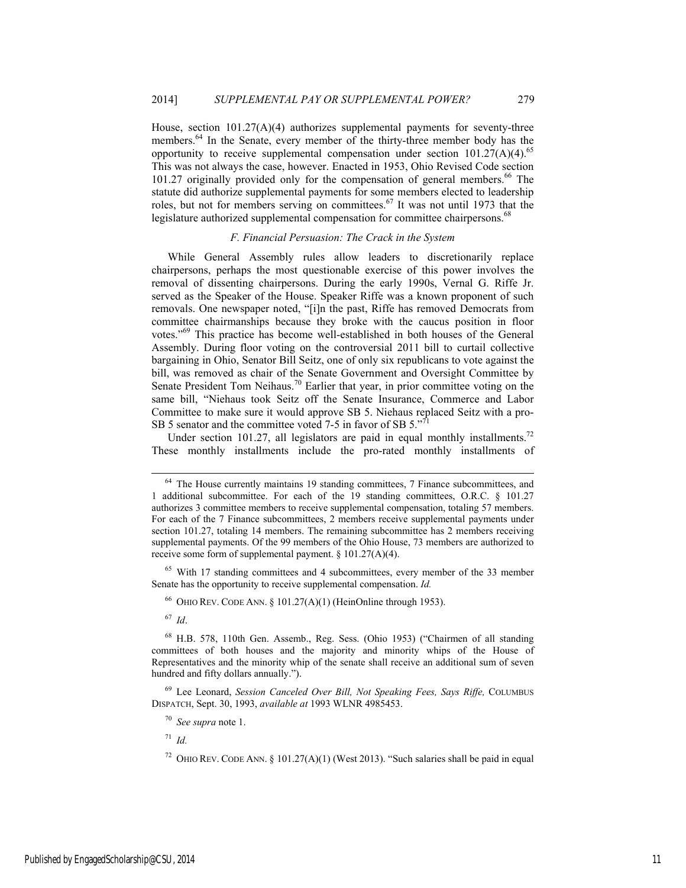House, section 101.27(A)(4) authorizes supplemental payments for seventy-three members.<sup>64</sup> In the Senate, every member of the thirty-three member body has the opportunity to receive supplemental compensation under section  $101.27(A)(4)$ .<sup>65</sup> This was not always the case, however. Enacted in 1953, Ohio Revised Code section 101.27 originally provided only for the compensation of general members.<sup>66</sup> The statute did authorize supplemental payments for some members elected to leadership roles, but not for members serving on committees.<sup>67</sup> It was not until 1973 that the legislature authorized supplemental compensation for committee chairpersons.<sup>68</sup>

# *F. Financial Persuasion: The Crack in the System*

While General Assembly rules allow leaders to discretionarily replace chairpersons, perhaps the most questionable exercise of this power involves the removal of dissenting chairpersons. During the early 1990s, Vernal G. Riffe Jr. served as the Speaker of the House. Speaker Riffe was a known proponent of such removals. One newspaper noted, "[i]n the past, Riffe has removed Democrats from committee chairmanships because they broke with the caucus position in floor votes."69 This practice has become well-established in both houses of the General Assembly. During floor voting on the controversial 2011 bill to curtail collective bargaining in Ohio, Senator Bill Seitz, one of only six republicans to vote against the bill, was removed as chair of the Senate Government and Oversight Committee by Senate President Tom Neihaus.<sup>70</sup> Earlier that year, in prior committee voting on the same bill, "Niehaus took Seitz off the Senate Insurance, Commerce and Labor Committee to make sure it would approve SB 5. Niehaus replaced Seitz with a pro-SB 5 senator and the committee voted 7-5 in favor of SB 5."<sup>71</sup>

Under section 101.27, all legislators are paid in equal monthly installments.<sup>72</sup> These monthly installments include the pro-rated monthly installments of

<sup>65</sup> With 17 standing committees and 4 subcommittees, every member of the 33 member Senate has the opportunity to receive supplemental compensation. *Id.*

<sup>66</sup> OHIO REV. CODE ANN. § 101.27(A)(1) (HeinOnline through 1953).

<sup>67</sup> *Id*.

69 Lee Leonard, *Session Canceled Over Bill, Not Speaking Fees, Says Riffe,* COLUMBUS DISPATCH, Sept. 30, 1993, *available at* 1993 WLNR 4985453.

<sup>70</sup> *See supra* note 1.

<sup>71</sup> *Id.*

<sup>&</sup>lt;sup>64</sup> The House currently maintains 19 standing committees, 7 Finance subcommittees, and 1 additional subcommittee. For each of the 19 standing committees, O.R.C. § 101.27 authorizes 3 committee members to receive supplemental compensation, totaling 57 members. For each of the 7 Finance subcommittees, 2 members receive supplemental payments under section 101.27, totaling 14 members. The remaining subcommittee has 2 members receiving supplemental payments. Of the 99 members of the Ohio House, 73 members are authorized to receive some form of supplemental payment. § 101.27(A)(4).

<sup>68</sup> H.B. 578, 110th Gen. Assemb., Reg. Sess. (Ohio 1953) ("Chairmen of all standing committees of both houses and the majority and minority whips of the House of Representatives and the minority whip of the senate shall receive an additional sum of seven hundred and fifty dollars annually.").

<sup>&</sup>lt;sup>72</sup> OHIO REV. CODE ANN. § 101.27(A)(1) (West 2013). "Such salaries shall be paid in equal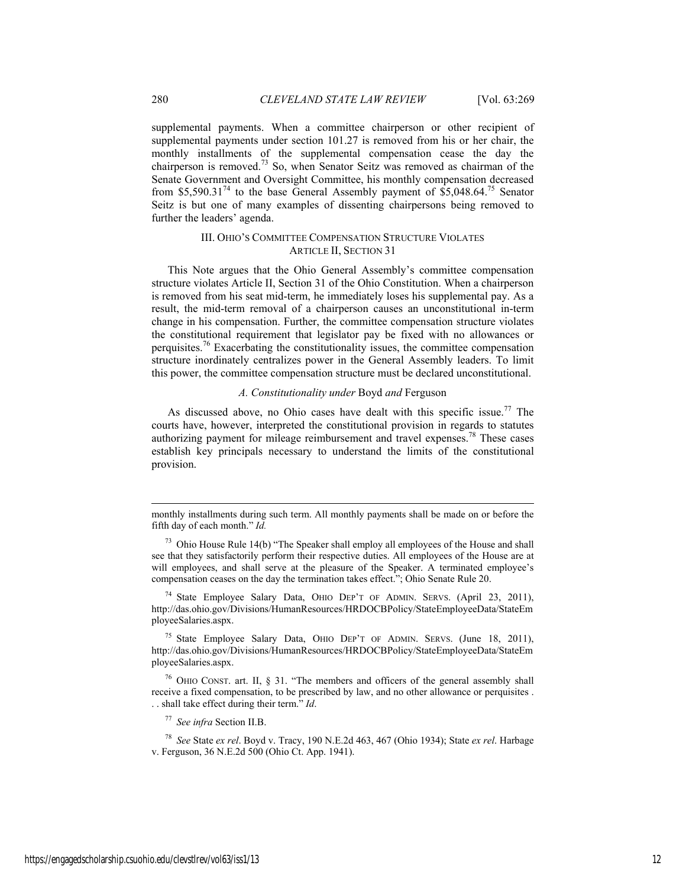supplemental payments. When a committee chairperson or other recipient of supplemental payments under section 101.27 is removed from his or her chair, the monthly installments of the supplemental compensation cease the day the chairperson is removed.<sup>73</sup> So, when Senator Seitz was removed as chairman of the Senate Government and Oversight Committee, his monthly compensation decreased from \$5,590.31<sup>74</sup> to the base General Assembly payment of  $$5,048.64.<sup>75</sup>$  Senator Seitz is but one of many examples of dissenting chairpersons being removed to further the leaders' agenda.

# III. OHIO'S COMMITTEE COMPENSATION STRUCTURE VIOLATES ARTICLE II, SECTION 31

This Note argues that the Ohio General Assembly's committee compensation structure violates Article II, Section 31 of the Ohio Constitution. When a chairperson is removed from his seat mid-term, he immediately loses his supplemental pay. As a result, the mid-term removal of a chairperson causes an unconstitutional in-term change in his compensation. Further, the committee compensation structure violates the constitutional requirement that legislator pay be fixed with no allowances or perquisites.<sup>76</sup> Exacerbating the constitutionality issues, the committee compensation structure inordinately centralizes power in the General Assembly leaders. To limit this power, the committee compensation structure must be declared unconstitutional.

# *A. Constitutionality under* Boyd *and* Ferguson

As discussed above, no Ohio cases have dealt with this specific issue.<sup>77</sup> The courts have, however, interpreted the constitutional provision in regards to statutes authorizing payment for mileage reimbursement and travel expenses.<sup>78</sup> These cases establish key principals necessary to understand the limits of the constitutional provision.

<sup>74</sup> State Employee Salary Data, OHIO DEP'T OF ADMIN. SERVS. (April 23, 2011), http://das.ohio.gov/Divisions/HumanResources/HRDOCBPolicy/StateEmployeeData/StateEm ployeeSalaries.aspx.

75 State Employee Salary Data, OHIO DEP'T OF ADMIN. SERVS. (June 18, 2011), http://das.ohio.gov/Divisions/HumanResources/HRDOCBPolicy/StateEmployeeData/StateEm ployeeSalaries.aspx.

76 OHIO CONST. art. II, § 31. "The members and officers of the general assembly shall receive a fixed compensation, to be prescribed by law, and no other allowance or perquisites . . . shall take effect during their term." *Id*.

<sup>77</sup> *See infra* Section II.B.

<sup>78</sup> *See* State *ex rel*. Boyd v. Tracy, 190 N.E.2d 463, 467 (Ohio 1934); State *ex rel*. Harbage v. Ferguson, 36 N.E.2d 500 (Ohio Ct. App. 1941).

l

monthly installments during such term. All monthly payments shall be made on or before the fifth day of each month." *Id.*

 $73$  Ohio House Rule 14(b) "The Speaker shall employ all employees of the House and shall see that they satisfactorily perform their respective duties. All employees of the House are at will employees, and shall serve at the pleasure of the Speaker. A terminated employee's compensation ceases on the day the termination takes effect."; Ohio Senate Rule 20.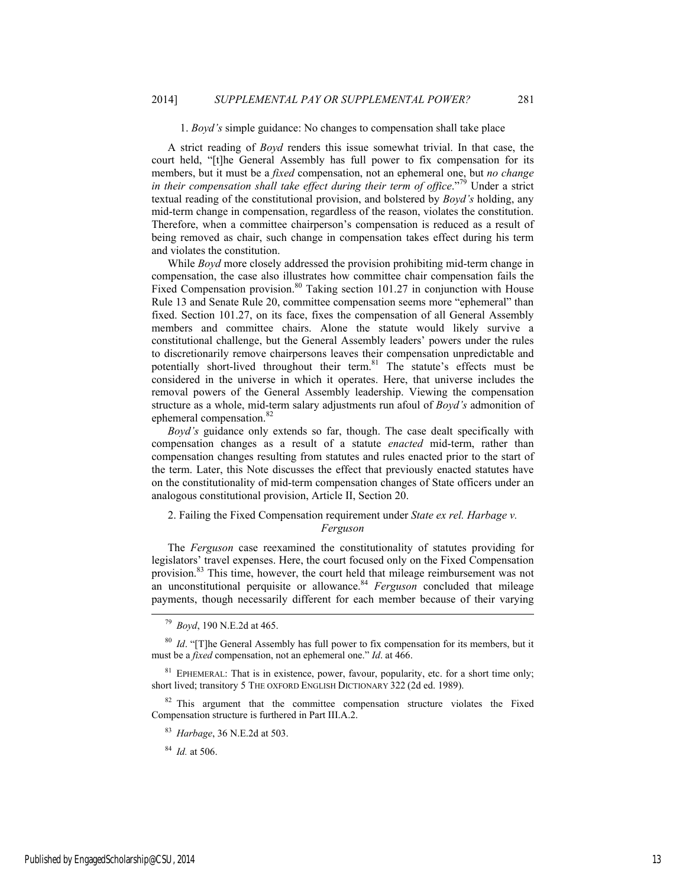#### 1. *Boyd's* simple guidance: No changes to compensation shall take place

A strict reading of *Boyd* renders this issue somewhat trivial. In that case, the court held, "[t]he General Assembly has full power to fix compensation for its members, but it must be a *fixed* compensation, not an ephemeral one, but *no change in their compensation shall take effect during their term of office.*<sup>79</sup> Under a strict textual reading of the constitutional provision, and bolstered by *Boyd's* holding, any mid-term change in compensation, regardless of the reason, violates the constitution. Therefore, when a committee chairperson's compensation is reduced as a result of being removed as chair, such change in compensation takes effect during his term and violates the constitution.

While *Boyd* more closely addressed the provision prohibiting mid-term change in compensation, the case also illustrates how committee chair compensation fails the Fixed Compensation provision.<sup>80</sup> Taking section 101.27 in conjunction with House Rule 13 and Senate Rule 20, committee compensation seems more "ephemeral" than fixed. Section 101.27, on its face, fixes the compensation of all General Assembly members and committee chairs. Alone the statute would likely survive a constitutional challenge, but the General Assembly leaders' powers under the rules to discretionarily remove chairpersons leaves their compensation unpredictable and potentially short-lived throughout their term.<sup>81</sup> The statute's effects must be considered in the universe in which it operates. Here, that universe includes the removal powers of the General Assembly leadership. Viewing the compensation structure as a whole, mid-term salary adjustments run afoul of *Boyd's* admonition of ephemeral compensation.<sup>82</sup>

*Boyd's* guidance only extends so far, though. The case dealt specifically with compensation changes as a result of a statute *enacted* mid-term, rather than compensation changes resulting from statutes and rules enacted prior to the start of the term. Later, this Note discusses the effect that previously enacted statutes have on the constitutionality of mid-term compensation changes of State officers under an analogous constitutional provision, Article II, Section 20.

# 2. Failing the Fixed Compensation requirement under *State ex rel. Harbage v. Ferguson*

The *Ferguson* case reexamined the constitutionality of statutes providing for legislators' travel expenses. Here, the court focused only on the Fixed Compensation provision.<sup>83</sup> This time, however, the court held that mileage reimbursement was not an unconstitutional perquisite or allowance.<sup>84</sup> *Ferguson* concluded that mileage payments, though necessarily different for each member because of their varying

 <sup>79</sup> *Boyd*, 190 N.E.2d at 465.

<sup>80</sup> *Id*. "[T]he General Assembly has full power to fix compensation for its members, but it must be a *fixed* compensation, not an ephemeral one." *Id*. at 466.

 $81$  EPHEMERAL: That is in existence, power, favour, popularity, etc. for a short time only; short lived; transitory 5 THE OXFORD ENGLISH DICTIONARY 322 (2d ed. 1989).

 $82$  This argument that the committee compensation structure violates the Fixed Compensation structure is furthered in Part III.A.2.

<sup>83</sup> *Harbage*, 36 N.E.2d at 503.

<sup>84</sup> *Id.* at 506.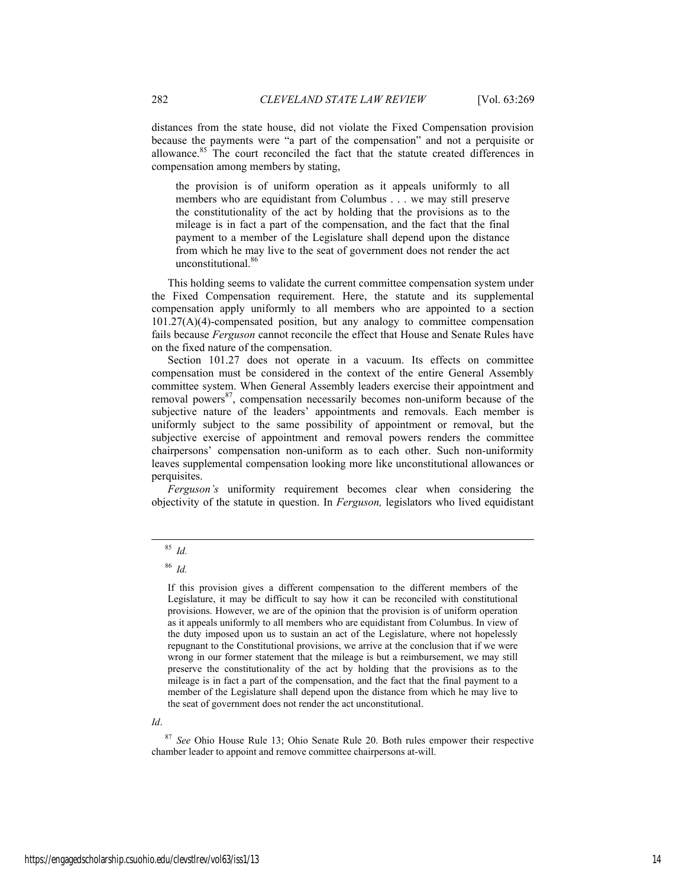distances from the state house, did not violate the Fixed Compensation provision because the payments were "a part of the compensation" and not a perquisite or allowance.85 The court reconciled the fact that the statute created differences in compensation among members by stating,

the provision is of uniform operation as it appeals uniformly to all members who are equidistant from Columbus . . . we may still preserve the constitutionality of the act by holding that the provisions as to the mileage is in fact a part of the compensation, and the fact that the final payment to a member of the Legislature shall depend upon the distance from which he may live to the seat of government does not render the act unconstitutional.<sup>86</sup>

This holding seems to validate the current committee compensation system under the Fixed Compensation requirement. Here, the statute and its supplemental compensation apply uniformly to all members who are appointed to a section 101.27(A)(4)-compensated position, but any analogy to committee compensation fails because *Ferguson* cannot reconcile the effect that House and Senate Rules have on the fixed nature of the compensation.

Section 101.27 does not operate in a vacuum. Its effects on committee compensation must be considered in the context of the entire General Assembly committee system. When General Assembly leaders exercise their appointment and removal powers $87$ , compensation necessarily becomes non-uniform because of the subjective nature of the leaders' appointments and removals. Each member is uniformly subject to the same possibility of appointment or removal, but the subjective exercise of appointment and removal powers renders the committee chairpersons' compensation non-uniform as to each other. Such non-uniformity leaves supplemental compensation looking more like unconstitutional allowances or perquisites.

*Ferguson's* uniformity requirement becomes clear when considering the objectivity of the statute in question. In *Ferguson,* legislators who lived equidistant

If this provision gives a different compensation to the different members of the Legislature, it may be difficult to say how it can be reconciled with constitutional provisions. However, we are of the opinion that the provision is of uniform operation as it appeals uniformly to all members who are equidistant from Columbus. In view of the duty imposed upon us to sustain an act of the Legislature, where not hopelessly repugnant to the Constitutional provisions, we arrive at the conclusion that if we were wrong in our former statement that the mileage is but a reimbursement, we may still preserve the constitutionality of the act by holding that the provisions as to the mileage is in fact a part of the compensation, and the fact that the final payment to a member of the Legislature shall depend upon the distance from which he may live to the seat of government does not render the act unconstitutional.

*Id*.

<sup>87</sup> *See* Ohio House Rule 13; Ohio Senate Rule 20. Both rules empower their respective chamber leader to appoint and remove committee chairpersons at-will.

 <sup>85</sup> *Id.* 

<sup>86</sup> *Id.*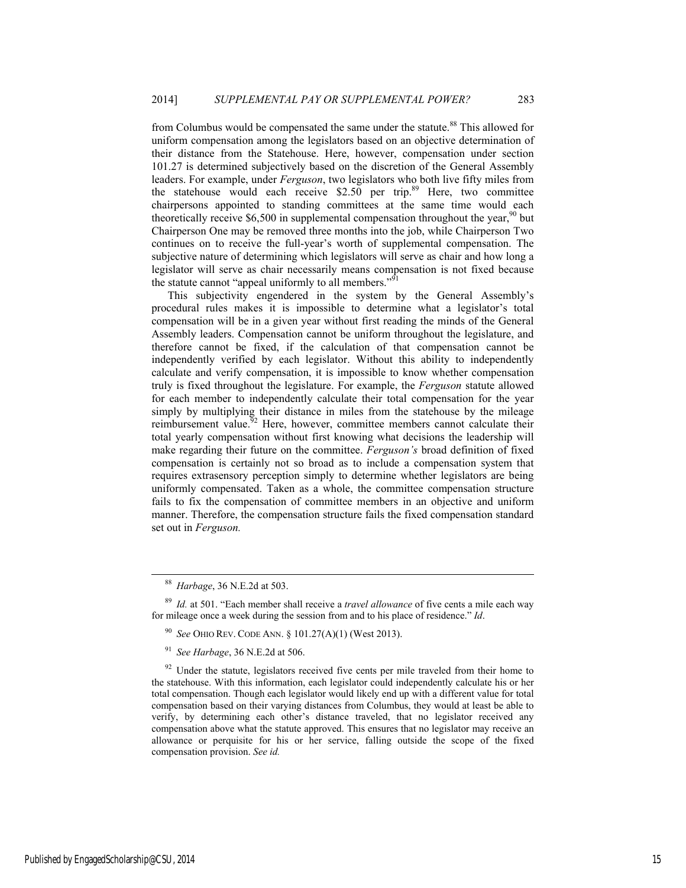from Columbus would be compensated the same under the statute.<sup>88</sup> This allowed for uniform compensation among the legislators based on an objective determination of their distance from the Statehouse. Here, however, compensation under section 101.27 is determined subjectively based on the discretion of the General Assembly leaders. For example, under *Ferguson*, two legislators who both live fifty miles from the statehouse would each receive  $$2.50$  per trip.<sup>89</sup> Here, two committee chairpersons appointed to standing committees at the same time would each theoretically receive  $$6,500$  in supplemental compensation throughout the year,<sup>90</sup> but Chairperson One may be removed three months into the job, while Chairperson Two continues on to receive the full-year's worth of supplemental compensation. The subjective nature of determining which legislators will serve as chair and how long a legislator will serve as chair necessarily means compensation is not fixed because the statute cannot "appeal uniformly to all members."<sup>91</sup>

This subjectivity engendered in the system by the General Assembly's procedural rules makes it is impossible to determine what a legislator's total compensation will be in a given year without first reading the minds of the General Assembly leaders. Compensation cannot be uniform throughout the legislature, and therefore cannot be fixed, if the calculation of that compensation cannot be independently verified by each legislator. Without this ability to independently calculate and verify compensation, it is impossible to know whether compensation truly is fixed throughout the legislature. For example, the *Ferguson* statute allowed for each member to independently calculate their total compensation for the year simply by multiplying their distance in miles from the statehouse by the mileage reimbursement value.<sup>92</sup> Here, however, committee members cannot calculate their total yearly compensation without first knowing what decisions the leadership will make regarding their future on the committee. *Ferguson's* broad definition of fixed compensation is certainly not so broad as to include a compensation system that requires extrasensory perception simply to determine whether legislators are being uniformly compensated. Taken as a whole, the committee compensation structure fails to fix the compensation of committee members in an objective and uniform manner. Therefore, the compensation structure fails the fixed compensation standard set out in *Ferguson.*

 <sup>88</sup> *Harbage*, 36 N.E.2d at 503.

<sup>89</sup> *Id.* at 501. "Each member shall receive a *travel allowance* of five cents a mile each way for mileage once a week during the session from and to his place of residence." *Id*.

<sup>90</sup> *See* OHIO REV. CODE ANN. § 101.27(A)(1) (West 2013).

<sup>91</sup> *See Harbage*, 36 N.E.2d at 506.

Under the statute, legislators received five cents per mile traveled from their home to the statehouse. With this information, each legislator could independently calculate his or her total compensation. Though each legislator would likely end up with a different value for total compensation based on their varying distances from Columbus, they would at least be able to verify, by determining each other's distance traveled, that no legislator received any compensation above what the statute approved. This ensures that no legislator may receive an allowance or perquisite for his or her service, falling outside the scope of the fixed compensation provision. *See id.*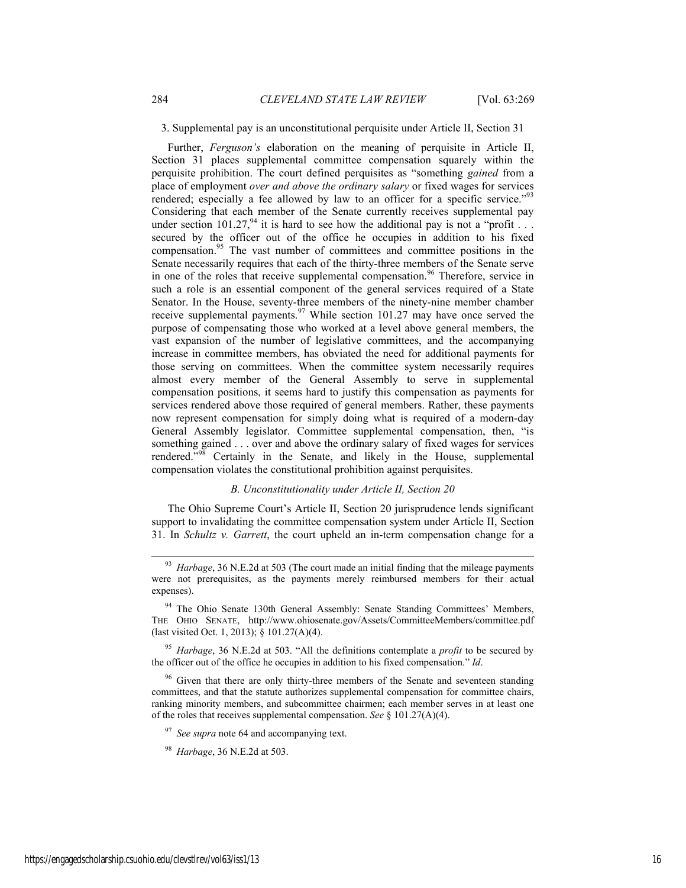3. Supplemental pay is an unconstitutional perquisite under Article II, Section 31

Further, *Ferguson's* elaboration on the meaning of perquisite in Article II, Section 31 places supplemental committee compensation squarely within the perquisite prohibition. The court defined perquisites as "something *gained* from a place of employment *over and above the ordinary salary* or fixed wages for services rendered; especially a fee allowed by law to an officer for a specific service."<sup>93</sup> Considering that each member of the Senate currently receives supplemental pay under section  $101.27<sup>94</sup>$  it is hard to see how the additional pay is not a "profit . . . secured by the officer out of the office he occupies in addition to his fixed compensation.<sup>95</sup> The vast number of committees and committee positions in the Senate necessarily requires that each of the thirty-three members of the Senate serve in one of the roles that receive supplemental compensation.<sup>96</sup> Therefore, service in such a role is an essential component of the general services required of a State Senator. In the House, seventy-three members of the ninety-nine member chamber receive supplemental payments.<sup>97</sup> While section 101.27 may have once served the purpose of compensating those who worked at a level above general members, the vast expansion of the number of legislative committees, and the accompanying increase in committee members, has obviated the need for additional payments for those serving on committees. When the committee system necessarily requires almost every member of the General Assembly to serve in supplemental compensation positions, it seems hard to justify this compensation as payments for services rendered above those required of general members. Rather, these payments now represent compensation for simply doing what is required of a modern-day General Assembly legislator. Committee supplemental compensation, then, "is something gained . . . over and above the ordinary salary of fixed wages for services rendered."<sup>98</sup> Certainly in the Senate, and likely in the House, supplemental compensation violates the constitutional prohibition against perquisites.

#### *B. Unconstitutionality under Article II, Section 20*

The Ohio Supreme Court's Article II, Section 20 jurisprudence lends significant support to invalidating the committee compensation system under Article II, Section 31. In *Schultz v. Garrett*, the court upheld an in-term compensation change for a

 <sup>93</sup> *Harbage*, 36 N.E.2d at 503 (The court made an initial finding that the mileage payments were not prerequisites, as the payments merely reimbursed members for their actual expenses).

<sup>&</sup>lt;sup>94</sup> The Ohio Senate 130th General Assembly: Senate Standing Committees' Members, THE OHIO SENATE, http://www.ohiosenate.gov/Assets/CommitteeMembers/committee.pdf (last visited Oct. 1, 2013); § 101.27(A)(4).

<sup>95</sup> *Harbage*, 36 N.E.2d at 503. "All the definitions contemplate a *profit* to be secured by the officer out of the office he occupies in addition to his fixed compensation." *Id*.

<sup>&</sup>lt;sup>96</sup> Given that there are only thirty-three members of the Senate and seventeen standing committees, and that the statute authorizes supplemental compensation for committee chairs, ranking minority members, and subcommittee chairmen; each member serves in at least one of the roles that receives supplemental compensation. *See* § 101.27(A)(4).

See supra note 64 and accompanying text.

<sup>98</sup> *Harbage*, 36 N.E.2d at 503.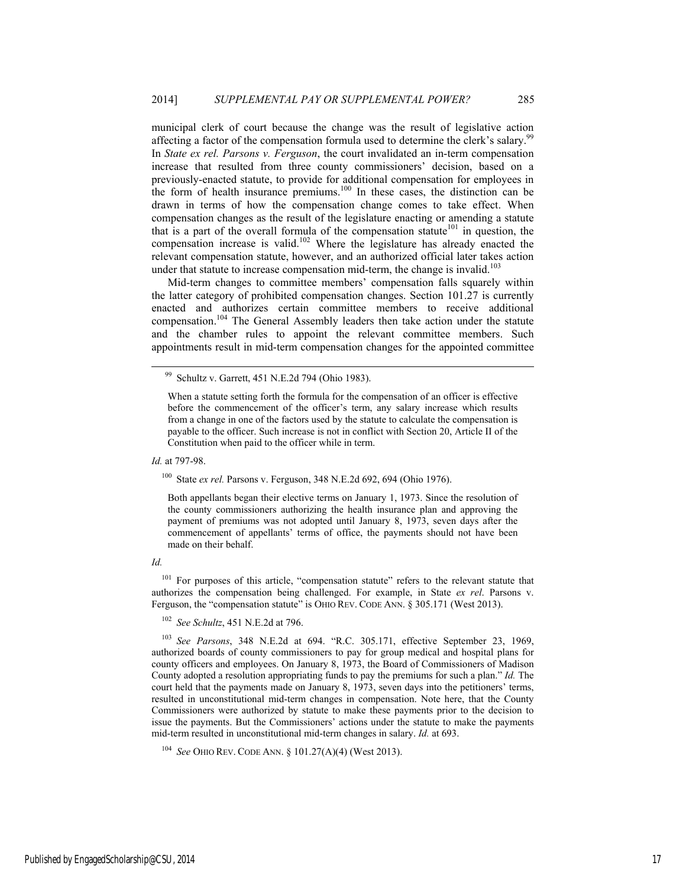municipal clerk of court because the change was the result of legislative action affecting a factor of the compensation formula used to determine the clerk's salary.<sup>99</sup> In *State ex rel. Parsons v. Ferguson*, the court invalidated an in-term compensation increase that resulted from three county commissioners' decision, based on a previously-enacted statute, to provide for additional compensation for employees in the form of health insurance premiums.<sup>100</sup> In these cases, the distinction can be drawn in terms of how the compensation change comes to take effect. When compensation changes as the result of the legislature enacting or amending a statute that is a part of the overall formula of the compensation statute<sup>101</sup> in question, the compensation increase is valid.<sup>102</sup> Where the legislature has already enacted the relevant compensation statute, however, and an authorized official later takes action under that statute to increase compensation mid-term, the change is invalid.<sup>103</sup>

Mid-term changes to committee members' compensation falls squarely within the latter category of prohibited compensation changes. Section 101.27 is currently enacted and authorizes certain committee members to receive additional compensation.<sup>104</sup> The General Assembly leaders then take action under the statute and the chamber rules to appoint the relevant committee members. Such appointments result in mid-term compensation changes for the appointed committee

*Id.* at 797-98.

100 State *ex rel.* Parsons v. Ferguson, 348 N.E.2d 692, 694 (Ohio 1976).

Both appellants began their elective terms on January 1, 1973. Since the resolution of the county commissioners authorizing the health insurance plan and approving the payment of premiums was not adopted until January 8, 1973, seven days after the commencement of appellants' terms of office, the payments should not have been made on their behalf.

# *Id.*

<sup>101</sup> For purposes of this article, "compensation statute" refers to the relevant statute that authorizes the compensation being challenged. For example, in State *ex rel*. Parsons v. Ferguson, the "compensation statute" is OHIO REV. CODE ANN. § 305.171 (West 2013).

<sup>102</sup> *See Schultz*, 451 N.E.2d at 796.

<sup>103</sup> *See Parsons*, 348 N.E.2d at 694. "R.C. 305.171, effective September 23, 1969, authorized boards of county commissioners to pay for group medical and hospital plans for county officers and employees. On January 8, 1973, the Board of Commissioners of Madison County adopted a resolution appropriating funds to pay the premiums for such a plan." *Id.* The court held that the payments made on January 8, 1973, seven days into the petitioners' terms, resulted in unconstitutional mid-term changes in compensation. Note here, that the County Commissioners were authorized by statute to make these payments prior to the decision to issue the payments. But the Commissioners' actions under the statute to make the payments mid-term resulted in unconstitutional mid-term changes in salary. *Id.* at 693.

<sup>104</sup> *See* OHIO REV. CODE ANN. § 101.27(A)(4) (West 2013).

 <sup>99</sup> Schultz v. Garrett, 451 N.E.2d 794 (Ohio 1983).

When a statute setting forth the formula for the compensation of an officer is effective before the commencement of the officer's term, any salary increase which results from a change in one of the factors used by the statute to calculate the compensation is payable to the officer. Such increase is not in conflict with Section 20, Article II of the Constitution when paid to the officer while in term.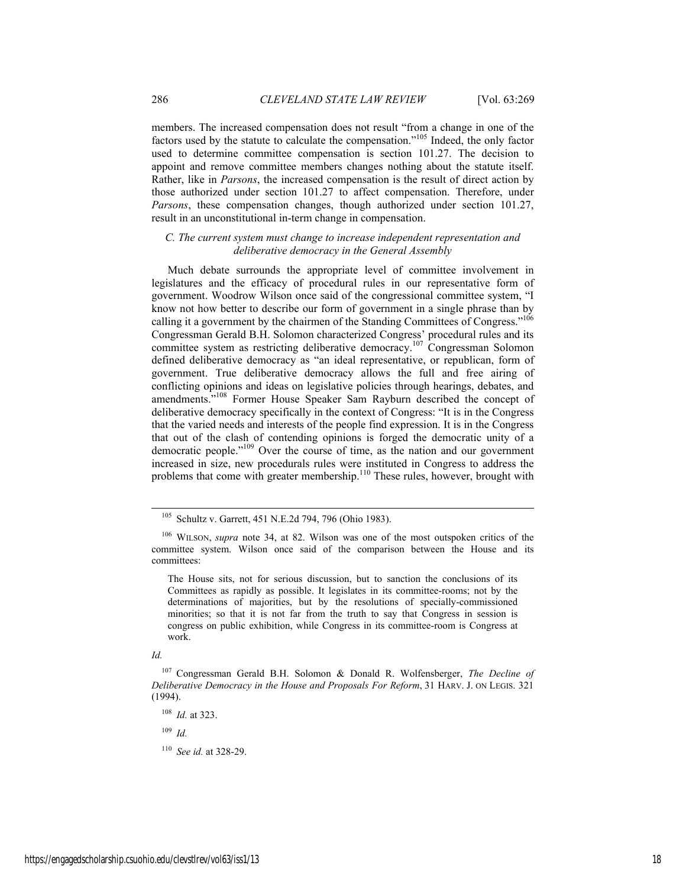members. The increased compensation does not result "from a change in one of the factors used by the statute to calculate the compensation."105 Indeed, the only factor used to determine committee compensation is section 101.27. The decision to appoint and remove committee members changes nothing about the statute itself. Rather, like in *Parsons*, the increased compensation is the result of direct action by those authorized under section 101.27 to affect compensation. Therefore, under *Parsons*, these compensation changes, though authorized under section 101.27, result in an unconstitutional in-term change in compensation.

## *C. The current system must change to increase independent representation and deliberative democracy in the General Assembly*

Much debate surrounds the appropriate level of committee involvement in legislatures and the efficacy of procedural rules in our representative form of government. Woodrow Wilson once said of the congressional committee system, "I know not how better to describe our form of government in a single phrase than by calling it a government by the chairmen of the Standing Committees of Congress."<sup>106</sup> Congressman Gerald B.H. Solomon characterized Congress' procedural rules and its committee system as restricting deliberative democracy.107 Congressman Solomon defined deliberative democracy as "an ideal representative, or republican, form of government. True deliberative democracy allows the full and free airing of conflicting opinions and ideas on legislative policies through hearings, debates, and amendments."108 Former House Speaker Sam Rayburn described the concept of deliberative democracy specifically in the context of Congress: "It is in the Congress that the varied needs and interests of the people find expression. It is in the Congress that out of the clash of contending opinions is forged the democratic unity of a democratic people."109 Over the course of time, as the nation and our government increased in size, new procedurals rules were instituted in Congress to address the problems that come with greater membership.110 These rules, however, brought with

The House sits, not for serious discussion, but to sanction the conclusions of its Committees as rapidly as possible. It legislates in its committee-rooms; not by the determinations of majorities, but by the resolutions of specially-commissioned minorities; so that it is not far from the truth to say that Congress in session is congress on public exhibition, while Congress in its committee-room is Congress at work.

*Id.* 

<sup>109</sup> *Id.*

<sup>110</sup> *See id.* at 328-29.

 <sup>105</sup> Schultz v. Garrett, 451 N.E.2d 794, 796 (Ohio 1983).

<sup>106</sup> WILSON, *supra* note 34, at 82. Wilson was one of the most outspoken critics of the committee system. Wilson once said of the comparison between the House and its committees:

<sup>107</sup> Congressman Gerald B.H. Solomon & Donald R. Wolfensberger, *The Decline of Deliberative Democracy in the House and Proposals For Reform*, 31 HARV. J. ON LEGIS. 321 (1994).

<sup>108</sup> *Id.* at 323.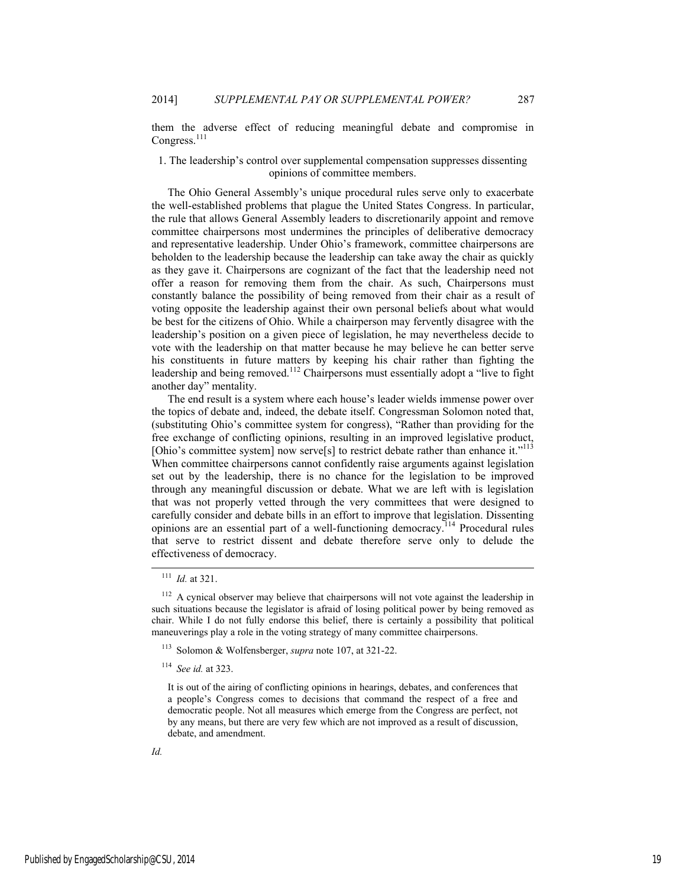them the adverse effect of reducing meaningful debate and compromise in Congress.<sup>111</sup>

# 1. The leadership's control over supplemental compensation suppresses dissenting opinions of committee members.

The Ohio General Assembly's unique procedural rules serve only to exacerbate the well-established problems that plague the United States Congress. In particular, the rule that allows General Assembly leaders to discretionarily appoint and remove committee chairpersons most undermines the principles of deliberative democracy and representative leadership. Under Ohio's framework, committee chairpersons are beholden to the leadership because the leadership can take away the chair as quickly as they gave it. Chairpersons are cognizant of the fact that the leadership need not offer a reason for removing them from the chair. As such, Chairpersons must constantly balance the possibility of being removed from their chair as a result of voting opposite the leadership against their own personal beliefs about what would be best for the citizens of Ohio. While a chairperson may fervently disagree with the leadership's position on a given piece of legislation, he may nevertheless decide to vote with the leadership on that matter because he may believe he can better serve his constituents in future matters by keeping his chair rather than fighting the leadership and being removed.<sup>112</sup> Chairpersons must essentially adopt a "live to fight" another day" mentality.

The end result is a system where each house's leader wields immense power over the topics of debate and, indeed, the debate itself. Congressman Solomon noted that, (substituting Ohio's committee system for congress), "Rather than providing for the free exchange of conflicting opinions, resulting in an improved legislative product, [Ohio's committee system] now serve[s] to restrict debate rather than enhance it."<sup>113</sup> When committee chairpersons cannot confidently raise arguments against legislation set out by the leadership, there is no chance for the legislation to be improved through any meaningful discussion or debate. What we are left with is legislation that was not properly vetted through the very committees that were designed to carefully consider and debate bills in an effort to improve that legislation. Dissenting opinions are an essential part of a well-functioning democracy.114 Procedural rules that serve to restrict dissent and debate therefore serve only to delude the effectiveness of democracy.

 <sup>111</sup> *Id.* at 321.

<sup>&</sup>lt;sup>112</sup> A cynical observer may believe that chairpersons will not vote against the leadership in such situations because the legislator is afraid of losing political power by being removed as chair. While I do not fully endorse this belief, there is certainly a possibility that political maneuverings play a role in the voting strategy of many committee chairpersons.

<sup>113</sup> Solomon & Wolfensberger, *supra* note 107, at 321-22.

<sup>114</sup> *See id.* at 323.

It is out of the airing of conflicting opinions in hearings, debates, and conferences that a people's Congress comes to decisions that command the respect of a free and democratic people. Not all measures which emerge from the Congress are perfect, not by any means, but there are very few which are not improved as a result of discussion, debate, and amendment.

*Id.*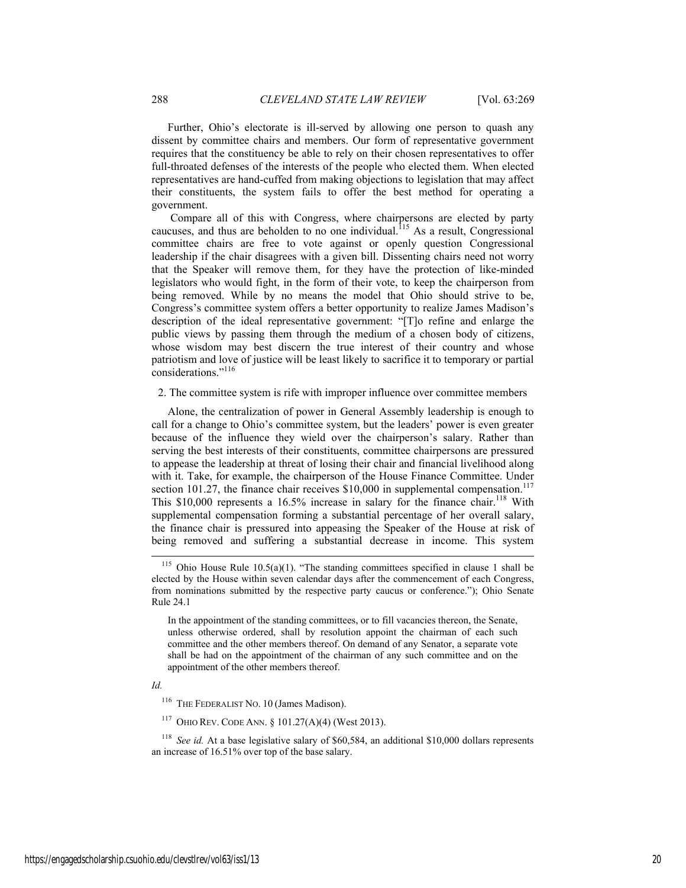Further, Ohio's electorate is ill-served by allowing one person to quash any dissent by committee chairs and members. Our form of representative government requires that the constituency be able to rely on their chosen representatives to offer full-throated defenses of the interests of the people who elected them. When elected representatives are hand-cuffed from making objections to legislation that may affect their constituents, the system fails to offer the best method for operating a government.

 Compare all of this with Congress, where chairpersons are elected by party caucuses, and thus are beholden to no one individual.<sup>115</sup> As a result, Congressional committee chairs are free to vote against or openly question Congressional leadership if the chair disagrees with a given bill. Dissenting chairs need not worry that the Speaker will remove them, for they have the protection of like-minded legislators who would fight, in the form of their vote, to keep the chairperson from being removed. While by no means the model that Ohio should strive to be, Congress's committee system offers a better opportunity to realize James Madison's description of the ideal representative government: "[T]o refine and enlarge the public views by passing them through the medium of a chosen body of citizens, whose wisdom may best discern the true interest of their country and whose patriotism and love of justice will be least likely to sacrifice it to temporary or partial considerations."<sup>116</sup>

2. The committee system is rife with improper influence over committee members

Alone, the centralization of power in General Assembly leadership is enough to call for a change to Ohio's committee system, but the leaders' power is even greater because of the influence they wield over the chairperson's salary. Rather than serving the best interests of their constituents, committee chairpersons are pressured to appease the leadership at threat of losing their chair and financial livelihood along with it. Take, for example, the chairperson of the House Finance Committee. Under section 101.27, the finance chair receives  $$10,000$  in supplemental compensation.<sup>117</sup> This  $$10,000$  represents a 16.5% increase in salary for the finance chair.<sup>118</sup> With supplemental compensation forming a substantial percentage of her overall salary, the finance chair is pressured into appeasing the Speaker of the House at risk of being removed and suffering a substantial decrease in income. This system

In the appointment of the standing committees, or to fill vacancies thereon, the Senate, unless otherwise ordered, shall by resolution appoint the chairman of each such committee and the other members thereof. On demand of any Senator, a separate vote shall be had on the appointment of the chairman of any such committee and on the appointment of the other members thereof.

*Id.*

<sup>116</sup> THE FEDERALIST NO. 10 (James Madison).

<sup>117</sup> OHIO REV. CODE ANN. § 101.27(A)(4) (West 2013).

<sup>118</sup> *See id.* At a base legislative salary of \$60,584, an additional \$10,000 dollars represents an increase of 16.51% over top of the base salary.

Ohio House Rule  $10.5(a)(1)$ . "The standing committees specified in clause 1 shall be elected by the House within seven calendar days after the commencement of each Congress, from nominations submitted by the respective party caucus or conference."); Ohio Senate Rule 24.1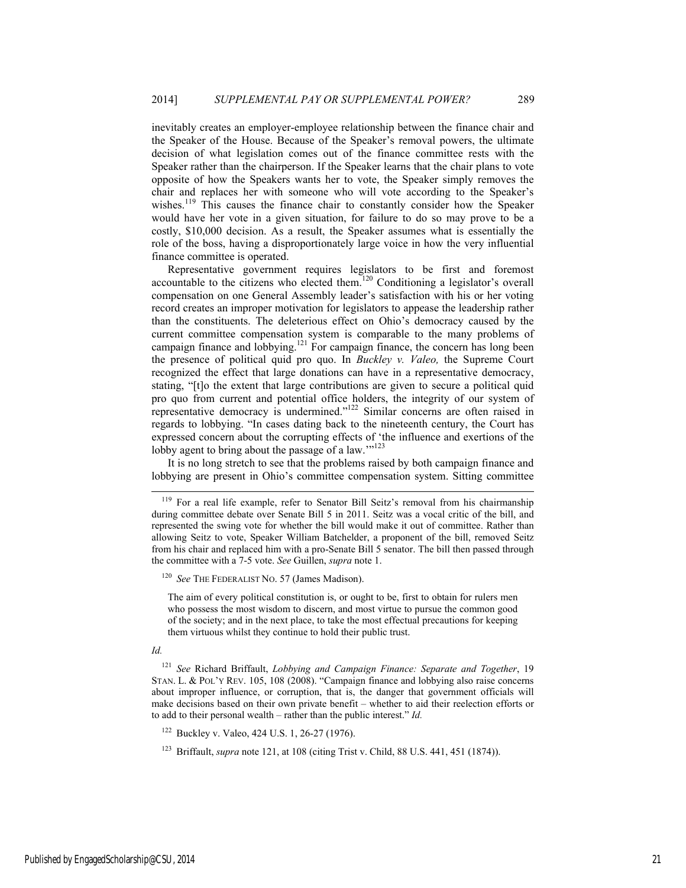inevitably creates an employer-employee relationship between the finance chair and the Speaker of the House. Because of the Speaker's removal powers, the ultimate decision of what legislation comes out of the finance committee rests with the Speaker rather than the chairperson. If the Speaker learns that the chair plans to vote opposite of how the Speakers wants her to vote, the Speaker simply removes the chair and replaces her with someone who will vote according to the Speaker's wishes.<sup>119</sup> This causes the finance chair to constantly consider how the Speaker would have her vote in a given situation, for failure to do so may prove to be a costly, \$10,000 decision. As a result, the Speaker assumes what is essentially the role of the boss, having a disproportionately large voice in how the very influential finance committee is operated.

Representative government requires legislators to be first and foremost accountable to the citizens who elected them.120 Conditioning a legislator's overall compensation on one General Assembly leader's satisfaction with his or her voting record creates an improper motivation for legislators to appease the leadership rather than the constituents. The deleterious effect on Ohio's democracy caused by the current committee compensation system is comparable to the many problems of campaign finance and lobbying.<sup>121</sup> For campaign finance, the concern has long been the presence of political quid pro quo. In *Buckley v. Valeo,* the Supreme Court recognized the effect that large donations can have in a representative democracy, stating, "[t]o the extent that large contributions are given to secure a political quid pro quo from current and potential office holders, the integrity of our system of representative democracy is undermined."122 Similar concerns are often raised in regards to lobbying. "In cases dating back to the nineteenth century, the Court has expressed concern about the corrupting effects of 'the influence and exertions of the lobby agent to bring about the passage of a law.""<sup>123</sup>

It is no long stretch to see that the problems raised by both campaign finance and lobbying are present in Ohio's committee compensation system. Sitting committee

#### *Id.*

<sup>&</sup>lt;sup>119</sup> For a real life example, refer to Senator Bill Seitz's removal from his chairmanship during committee debate over Senate Bill 5 in 2011. Seitz was a vocal critic of the bill, and represented the swing vote for whether the bill would make it out of committee. Rather than allowing Seitz to vote, Speaker William Batchelder, a proponent of the bill, removed Seitz from his chair and replaced him with a pro-Senate Bill 5 senator. The bill then passed through the committee with a 7-5 vote. *See* Guillen, *supra* note 1.

<sup>&</sup>lt;sup>120</sup> See THE FEDERALIST NO. 57 (James Madison).

The aim of every political constitution is, or ought to be, first to obtain for rulers men who possess the most wisdom to discern, and most virtue to pursue the common good of the society; and in the next place, to take the most effectual precautions for keeping them virtuous whilst they continue to hold their public trust.

<sup>121</sup> *See* Richard Briffault, *Lobbying and Campaign Finance: Separate and Together*, 19 STAN. L. & POL'Y REV. 105, 108 (2008). "Campaign finance and lobbying also raise concerns about improper influence, or corruption, that is, the danger that government officials will make decisions based on their own private benefit – whether to aid their reelection efforts or to add to their personal wealth – rather than the public interest." *Id.* 

<sup>122</sup> Buckley v. Valeo, 424 U.S. 1, 26-27 (1976).

<sup>&</sup>lt;sup>123</sup> Briffault, *supra* note 121, at 108 (citing Trist v. Child, 88 U.S. 441, 451 (1874)).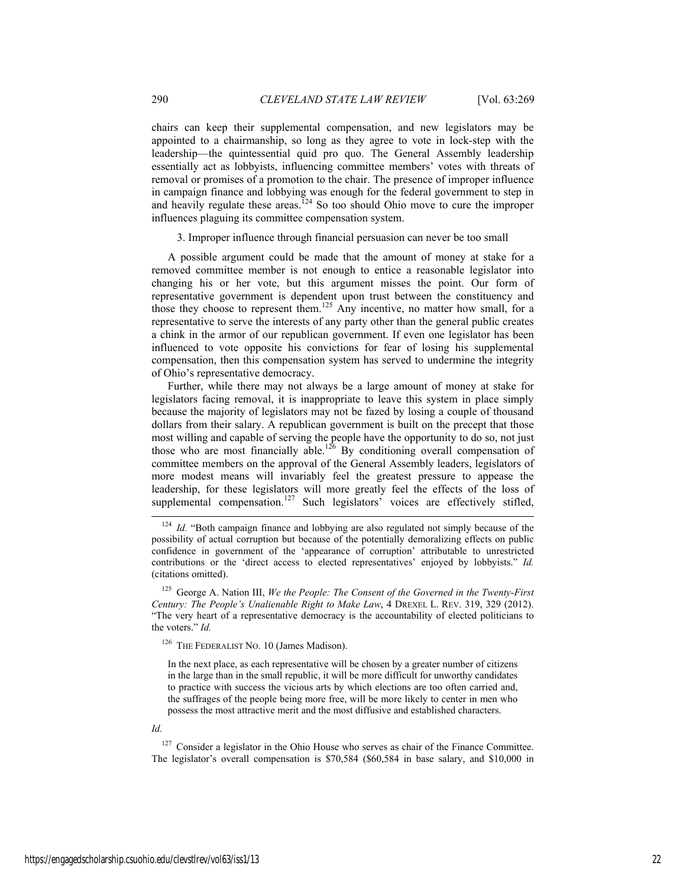chairs can keep their supplemental compensation, and new legislators may be appointed to a chairmanship, so long as they agree to vote in lock-step with the leadership—the quintessential quid pro quo. The General Assembly leadership essentially act as lobbyists, influencing committee members' votes with threats of removal or promises of a promotion to the chair. The presence of improper influence in campaign finance and lobbying was enough for the federal government to step in and heavily regulate these areas.<sup>124</sup> So too should Ohio move to cure the improper influences plaguing its committee compensation system.

3. Improper influence through financial persuasion can never be too small

A possible argument could be made that the amount of money at stake for a removed committee member is not enough to entice a reasonable legislator into changing his or her vote, but this argument misses the point. Our form of representative government is dependent upon trust between the constituency and those they choose to represent them.<sup>125</sup> Any incentive, no matter how small, for a representative to serve the interests of any party other than the general public creates a chink in the armor of our republican government. If even one legislator has been influenced to vote opposite his convictions for fear of losing his supplemental compensation, then this compensation system has served to undermine the integrity of Ohio's representative democracy.

Further, while there may not always be a large amount of money at stake for legislators facing removal, it is inappropriate to leave this system in place simply because the majority of legislators may not be fazed by losing a couple of thousand dollars from their salary. A republican government is built on the precept that those most willing and capable of serving the people have the opportunity to do so, not just those who are most financially able.<sup>126</sup> By conditioning overall compensation of committee members on the approval of the General Assembly leaders, legislators of more modest means will invariably feel the greatest pressure to appease the leadership, for these legislators will more greatly feel the effects of the loss of supplemental compensation.<sup>127</sup> Such legislators<sup>'</sup> voices are effectively stifled,

125 George A. Nation III, *We the People: The Consent of the Governed in the Twenty-First Century: The People's Unalienable Right to Make Law*, 4 DREXEL L. REV. 319, 329 (2012). "The very heart of a representative democracy is the accountability of elected politicians to the voters." *Id.*

<sup>126</sup> THE FEDERALIST NO. 10 (James Madison).

In the next place, as each representative will be chosen by a greater number of citizens in the large than in the small republic, it will be more difficult for unworthy candidates to practice with success the vicious arts by which elections are too often carried and, the suffrages of the people being more free, will be more likely to center in men who possess the most attractive merit and the most diffusive and established characters.

#### *Id.*

 $127$  Consider a legislator in the Ohio House who serves as chair of the Finance Committee. The legislator's overall compensation is \$70,584 (\$60,584 in base salary, and \$10,000 in

<sup>&</sup>lt;sup>124</sup> *Id.* "Both campaign finance and lobbying are also regulated not simply because of the possibility of actual corruption but because of the potentially demoralizing effects on public confidence in government of the 'appearance of corruption' attributable to unrestricted contributions or the 'direct access to elected representatives' enjoyed by lobbyists." *Id.* (citations omitted).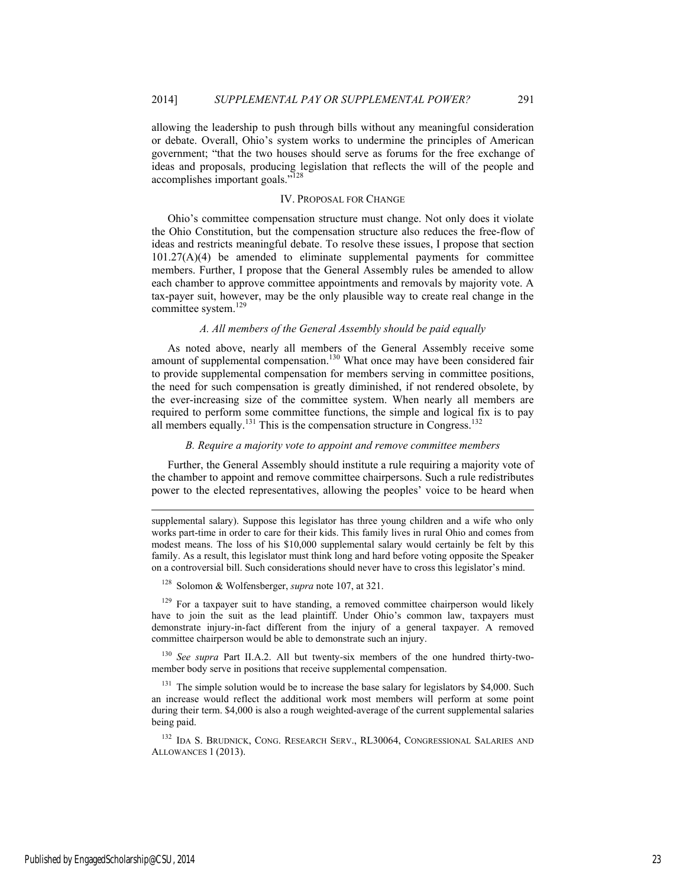allowing the leadership to push through bills without any meaningful consideration or debate. Overall, Ohio's system works to undermine the principles of American government; "that the two houses should serve as forums for the free exchange of ideas and proposals, producing legislation that reflects the will of the people and accomplishes important goals."128

#### IV. PROPOSAL FOR CHANGE

Ohio's committee compensation structure must change. Not only does it violate the Ohio Constitution, but the compensation structure also reduces the free-flow of ideas and restricts meaningful debate. To resolve these issues, I propose that section  $101.27(A)(4)$  be amended to eliminate supplemental payments for committee members. Further, I propose that the General Assembly rules be amended to allow each chamber to approve committee appointments and removals by majority vote. A tax-payer suit, however, may be the only plausible way to create real change in the committee system.<sup>129</sup>

#### *A. All members of the General Assembly should be paid equally*

As noted above, nearly all members of the General Assembly receive some amount of supplemental compensation.<sup>130</sup> What once may have been considered fair to provide supplemental compensation for members serving in committee positions, the need for such compensation is greatly diminished, if not rendered obsolete, by the ever-increasing size of the committee system. When nearly all members are required to perform some committee functions, the simple and logical fix is to pay all members equally.<sup>131</sup> This is the compensation structure in Congress.<sup>132</sup>

# *B. Require a majority vote to appoint and remove committee members*

Further, the General Assembly should institute a rule requiring a majority vote of the chamber to appoint and remove committee chairpersons. Such a rule redistributes power to the elected representatives, allowing the peoples' voice to be heard when

128 Solomon & Wolfensberger, *supra* note 107, at 321.

 $129$  For a taxpayer suit to have standing, a removed committee chairperson would likely have to join the suit as the lead plaintiff. Under Ohio's common law, taxpayers must demonstrate injury-in-fact different from the injury of a general taxpayer. A removed committee chairperson would be able to demonstrate such an injury.

<sup>130</sup> See supra Part II.A.2. All but twenty-six members of the one hundred thirty-twomember body serve in positions that receive supplemental compensation.

<sup>131</sup> The simple solution would be to increase the base salary for legislators by \$4,000. Such an increase would reflect the additional work most members will perform at some point during their term. \$4,000 is also a rough weighted-average of the current supplemental salaries being paid.

<sup>132</sup> IDA S. BRUDNICK, CONG. RESEARCH SERV., RL30064, CONGRESSIONAL SALARIES AND ALLOWANCES 1 (2013).

l

supplemental salary). Suppose this legislator has three young children and a wife who only works part-time in order to care for their kids. This family lives in rural Ohio and comes from modest means. The loss of his \$10,000 supplemental salary would certainly be felt by this family. As a result, this legislator must think long and hard before voting opposite the Speaker on a controversial bill. Such considerations should never have to cross this legislator's mind.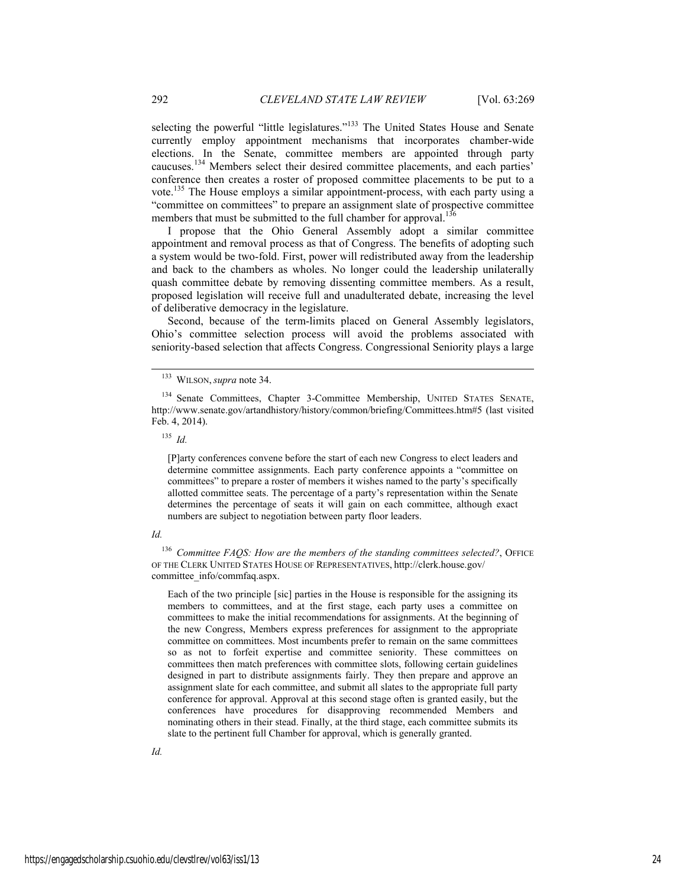selecting the powerful "little legislatures."<sup>133</sup> The United States House and Senate currently employ appointment mechanisms that incorporates chamber-wide elections. In the Senate, committee members are appointed through party caucuses.134 Members select their desired committee placements, and each parties' conference then creates a roster of proposed committee placements to be put to a vote.135 The House employs a similar appointment-process, with each party using a "committee on committees" to prepare an assignment slate of prospective committee members that must be submitted to the full chamber for approval.<sup>136</sup>

I propose that the Ohio General Assembly adopt a similar committee appointment and removal process as that of Congress. The benefits of adopting such a system would be two-fold. First, power will redistributed away from the leadership and back to the chambers as wholes. No longer could the leadership unilaterally quash committee debate by removing dissenting committee members. As a result, proposed legislation will receive full and unadulterated debate, increasing the level of deliberative democracy in the legislature.

Second, because of the term-limits placed on General Assembly legislators, Ohio's committee selection process will avoid the problems associated with seniority-based selection that affects Congress. Congressional Seniority plays a large

 $135$  *Id.* 

[P]arty conferences convene before the start of each new Congress to elect leaders and determine committee assignments. Each party conference appoints a "committee on committees" to prepare a roster of members it wishes named to the party's specifically allotted committee seats. The percentage of a party's representation within the Senate determines the percentage of seats it will gain on each committee, although exact numbers are subject to negotiation between party floor leaders.

#### *Id.*

<sup>136</sup> Committee FAQS: How are the members of the standing committees selected?, OFFICE OF THE CLERK UNITED STATES HOUSE OF REPRESENTATIVES, http://clerk.house.gov/ committee\_info/commfaq.aspx.

Each of the two principle [sic] parties in the House is responsible for the assigning its members to committees, and at the first stage, each party uses a committee on committees to make the initial recommendations for assignments. At the beginning of the new Congress, Members express preferences for assignment to the appropriate committee on committees. Most incumbents prefer to remain on the same committees so as not to forfeit expertise and committee seniority. These committees on committees then match preferences with committee slots, following certain guidelines designed in part to distribute assignments fairly. They then prepare and approve an assignment slate for each committee, and submit all slates to the appropriate full party conference for approval. Approval at this second stage often is granted easily, but the conferences have procedures for disapproving recommended Members and nominating others in their stead. Finally, at the third stage, each committee submits its slate to the pertinent full Chamber for approval, which is generally granted.

 <sup>133</sup> WILSON, *supra* note 34.

<sup>134</sup> Senate Committees, Chapter 3-Committee Membership, UNITED STATES SENATE, http://www.senate.gov/artandhistory/history/common/briefing/Committees.htm#5 (last visited Feb. 4, 2014).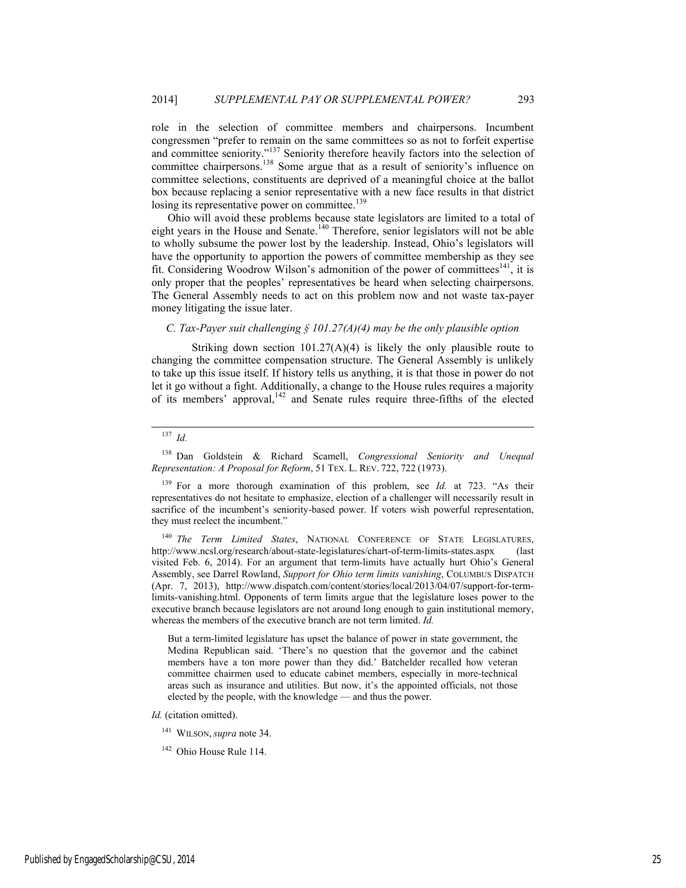role in the selection of committee members and chairpersons. Incumbent congressmen "prefer to remain on the same committees so as not to forfeit expertise and committee seniority."<sup>137</sup> Seniority therefore heavily factors into the selection of committee chairpersons.<sup>138</sup> Some argue that as a result of seniority's influence on committee selections, constituents are deprived of a meaningful choice at the ballot box because replacing a senior representative with a new face results in that district losing its representative power on committee.<sup>139</sup>

Ohio will avoid these problems because state legislators are limited to a total of eight years in the House and Senate.<sup>140</sup> Therefore, senior legislators will not be able to wholly subsume the power lost by the leadership. Instead, Ohio's legislators will have the opportunity to apportion the powers of committee membership as they see fit. Considering Woodrow Wilson's admonition of the power of committees $141$ , it is only proper that the peoples' representatives be heard when selecting chairpersons. The General Assembly needs to act on this problem now and not waste tax-payer money litigating the issue later.

# *C. Tax-Payer suit challenging § 101.27(A)(4) may be the only plausible option*

Striking down section  $101.27(A)(4)$  is likely the only plausible route to changing the committee compensation structure. The General Assembly is unlikely to take up this issue itself. If history tells us anything, it is that those in power do not let it go without a fight. Additionally, a change to the House rules requires a majority of its members' approval, $142$  and Senate rules require three-fifths of the elected

# $137$  *Id.*

138 Dan Goldstein & Richard Scamell, *Congressional Seniority and Unequal Representation: A Proposal for Reform*, 51 TEX. L. REV. 722, 722 (1973).

<sup>140</sup> *The Term Limited States*, NATIONAL CONFERENCE OF STATE LEGISLATURES, http://www.ncsl.org/research/about-state-legislatures/chart-of-term-limits-states.aspx (last visited Feb. 6, 2014). For an argument that term-limits have actually hurt Ohio's General Assembly, see Darrel Rowland, *Support for Ohio term limits vanishing*, COLUMBUS DISPATCH (Apr. 7, 2013), http://www.dispatch.com/content/stories/local/2013/04/07/support-for-termlimits-vanishing.html. Opponents of term limits argue that the legislature loses power to the executive branch because legislators are not around long enough to gain institutional memory, whereas the members of the executive branch are not term limited. *Id.* 

But a term-limited legislature has upset the balance of power in state government, the Medina Republican said. 'There's no question that the governor and the cabinet members have a ton more power than they did.' Batchelder recalled how veteran committee chairmen used to educate cabinet members, especially in more-technical areas such as insurance and utilities. But now, it's the appointed officials, not those elected by the people, with the knowledge — and thus the power.

*Id.* (citation omitted).

141 WILSON, *supra* note 34.

<sup>142</sup> Ohio House Rule 114.

<sup>139</sup> For a more thorough examination of this problem, see *Id.* at 723. "As their representatives do not hesitate to emphasize, election of a challenger will necessarily result in sacrifice of the incumbent's seniority-based power. If voters wish powerful representation, they must reelect the incumbent."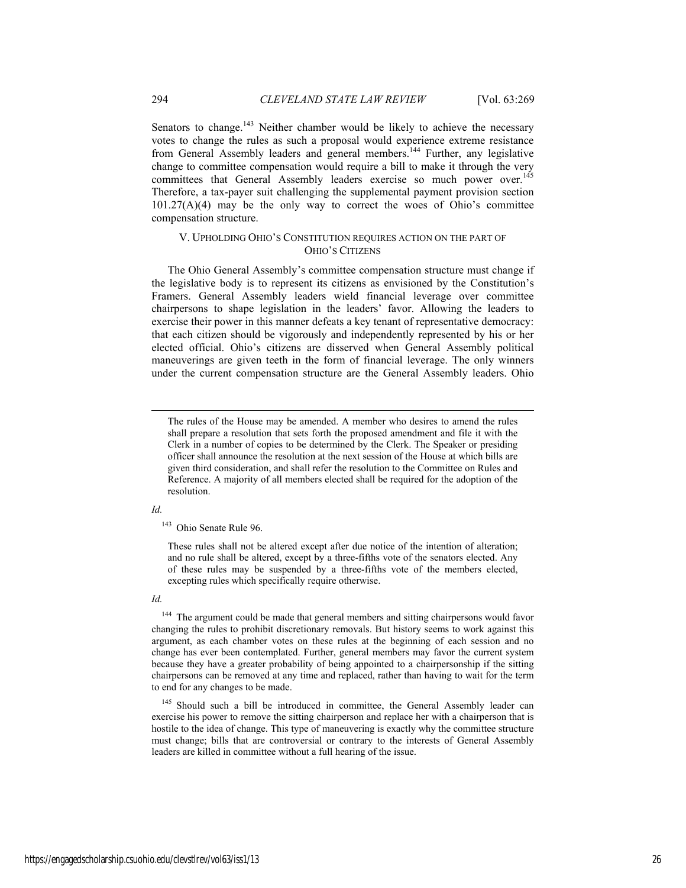Senators to change.<sup>143</sup> Neither chamber would be likely to achieve the necessary votes to change the rules as such a proposal would experience extreme resistance from General Assembly leaders and general members.<sup>144</sup> Further, any legislative change to committee compensation would require a bill to make it through the very committees that General Assembly leaders exercise so much power over.<sup>145</sup> Therefore, a tax-payer suit challenging the supplemental payment provision section 101.27(A)(4) may be the only way to correct the woes of Ohio's committee compensation structure.

# V. UPHOLDING OHIO'S CONSTITUTION REQUIRES ACTION ON THE PART OF OHIO'S CITIZENS

The Ohio General Assembly's committee compensation structure must change if the legislative body is to represent its citizens as envisioned by the Constitution's Framers. General Assembly leaders wield financial leverage over committee chairpersons to shape legislation in the leaders' favor. Allowing the leaders to exercise their power in this manner defeats a key tenant of representative democracy: that each citizen should be vigorously and independently represented by his or her elected official. Ohio's citizens are disserved when General Assembly political maneuverings are given teeth in the form of financial leverage. The only winners under the current compensation structure are the General Assembly leaders. Ohio

# *Id.*

l

These rules shall not be altered except after due notice of the intention of alteration; and no rule shall be altered, except by a three-fifths vote of the senators elected. Any of these rules may be suspended by a three-fifths vote of the members elected, excepting rules which specifically require otherwise.

# *Id.*

<sup>144</sup> The argument could be made that general members and sitting chairpersons would favor changing the rules to prohibit discretionary removals. But history seems to work against this argument, as each chamber votes on these rules at the beginning of each session and no change has ever been contemplated. Further, general members may favor the current system because they have a greater probability of being appointed to a chairpersonship if the sitting chairpersons can be removed at any time and replaced, rather than having to wait for the term to end for any changes to be made.

<sup>145</sup> Should such a bill be introduced in committee, the General Assembly leader can exercise his power to remove the sitting chairperson and replace her with a chairperson that is hostile to the idea of change. This type of maneuvering is exactly why the committee structure must change; bills that are controversial or contrary to the interests of General Assembly leaders are killed in committee without a full hearing of the issue.

The rules of the House may be amended. A member who desires to amend the rules shall prepare a resolution that sets forth the proposed amendment and file it with the Clerk in a number of copies to be determined by the Clerk. The Speaker or presiding officer shall announce the resolution at the next session of the House at which bills are given third consideration, and shall refer the resolution to the Committee on Rules and Reference. A majority of all members elected shall be required for the adoption of the resolution.

<sup>&</sup>lt;sup>143</sup> Ohio Senate Rule 96.